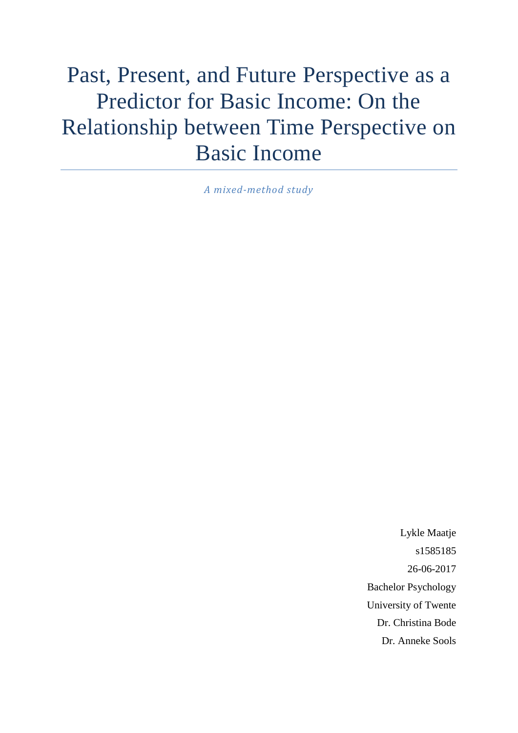# Past, Present, and Future Perspective as a Predictor for Basic Income: On the Relationship between Time Perspective on Basic Income

*A mixed-method study*

Lykle Maatje s1585185 26-06-2017 Bachelor Psychology University of Twente Dr. Christina Bode Dr. Anneke Sools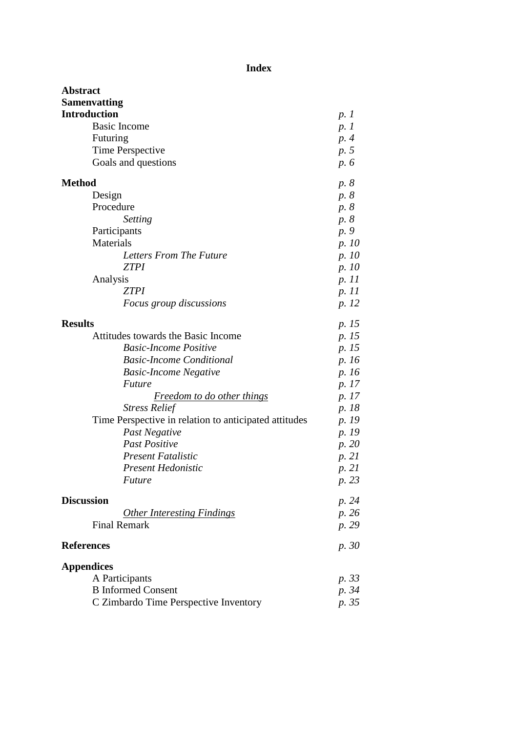# **Index**

| <b>Abstract</b>                                       |       |
|-------------------------------------------------------|-------|
| <b>Samenvatting</b>                                   |       |
| <b>Introduction</b>                                   | p. 1  |
| <b>Basic Income</b>                                   | p. 1  |
| Futuring                                              | p. 4  |
| Time Perspective                                      | p. 5  |
| Goals and questions                                   | p. 6  |
| <b>Method</b>                                         | p. 8  |
| Design                                                | p. 8  |
| Procedure                                             | p. 8  |
| Setting                                               | p. 8  |
| Participants                                          | p. 9  |
| Materials                                             | p. 10 |
| Letters From The Future                               | p. 10 |
| <b>ZTPI</b>                                           | p. 10 |
| Analysis                                              | p. 11 |
| <b>ZTPI</b>                                           | p. 11 |
| <i>Focus group discussions</i>                        | p. 12 |
| <b>Results</b>                                        | p. 15 |
| Attitudes towards the Basic Income                    | p. 15 |
| <b>Basic-Income Positive</b>                          | p. 15 |
| <b>Basic-Income Conditional</b>                       | p. 16 |
| <b>Basic-Income Negative</b>                          | p. 16 |
| <i>Future</i>                                         | p. 17 |
| Freedom to do other things                            | p. 17 |
| <b>Stress Relief</b>                                  | p. 18 |
| Time Perspective in relation to anticipated attitudes | p. 19 |
| Past Negative                                         | p. 19 |
| <b>Past Positive</b>                                  | p. 20 |
| <b>Present Fatalistic</b>                             | p. 21 |
| Present Hedonistic                                    | p. 21 |
| <b>Future</b>                                         | p. 23 |
| <b>Discussion</b>                                     | p. 24 |
| <b>Other Interesting Findings</b>                     | p. 26 |
| <b>Final Remark</b>                                   | p. 29 |
| <b>References</b>                                     | p. 30 |
| <b>Appendices</b>                                     |       |
| A Participants                                        | p. 33 |
| <b>B</b> Informed Consent                             | p. 34 |
| C Zimbardo Time Perspective Inventory                 | p. 35 |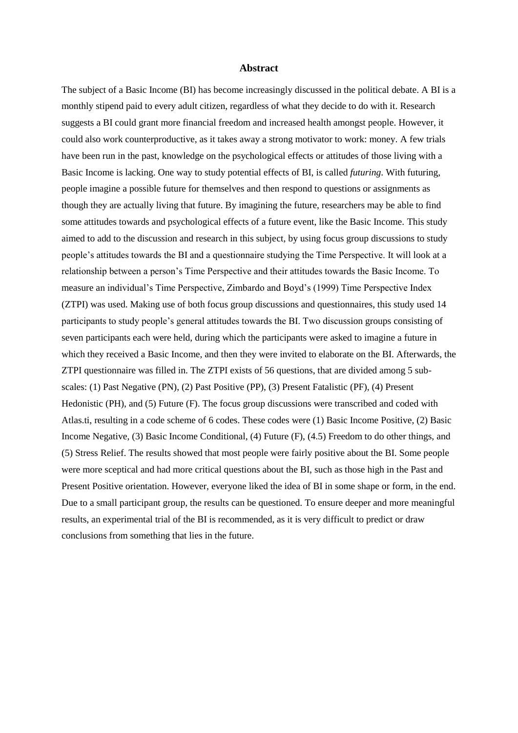#### **Abstract**

The subject of a Basic Income (BI) has become increasingly discussed in the political debate. A BI is a monthly stipend paid to every adult citizen, regardless of what they decide to do with it. Research suggests a BI could grant more financial freedom and increased health amongst people. However, it could also work counterproductive, as it takes away a strong motivator to work: money. A few trials have been run in the past, knowledge on the psychological effects or attitudes of those living with a Basic Income is lacking. One way to study potential effects of BI, is called *futuring*. With futuring, people imagine a possible future for themselves and then respond to questions or assignments as though they are actually living that future. By imagining the future, researchers may be able to find some attitudes towards and psychological effects of a future event, like the Basic Income. This study aimed to add to the discussion and research in this subject, by using focus group discussions to study people's attitudes towards the BI and a questionnaire studying the Time Perspective. It will look at a relationship between a person's Time Perspective and their attitudes towards the Basic Income. To measure an individual's Time Perspective, Zimbardo and Boyd's (1999) Time Perspective Index (ZTPI) was used. Making use of both focus group discussions and questionnaires, this study used 14 participants to study people's general attitudes towards the BI. Two discussion groups consisting of seven participants each were held, during which the participants were asked to imagine a future in which they received a Basic Income, and then they were invited to elaborate on the BI. Afterwards, the ZTPI questionnaire was filled in. The ZTPI exists of 56 questions, that are divided among 5 subscales: (1) Past Negative (PN), (2) Past Positive (PP), (3) Present Fatalistic (PF), (4) Present Hedonistic (PH), and (5) Future (F). The focus group discussions were transcribed and coded with Atlas.ti, resulting in a code scheme of 6 codes. These codes were (1) Basic Income Positive, (2) Basic Income Negative, (3) Basic Income Conditional, (4) Future (F), (4.5) Freedom to do other things, and (5) Stress Relief. The results showed that most people were fairly positive about the BI. Some people were more sceptical and had more critical questions about the BI, such as those high in the Past and Present Positive orientation. However, everyone liked the idea of BI in some shape or form, in the end. Due to a small participant group, the results can be questioned. To ensure deeper and more meaningful results, an experimental trial of the BI is recommended, as it is very difficult to predict or draw conclusions from something that lies in the future.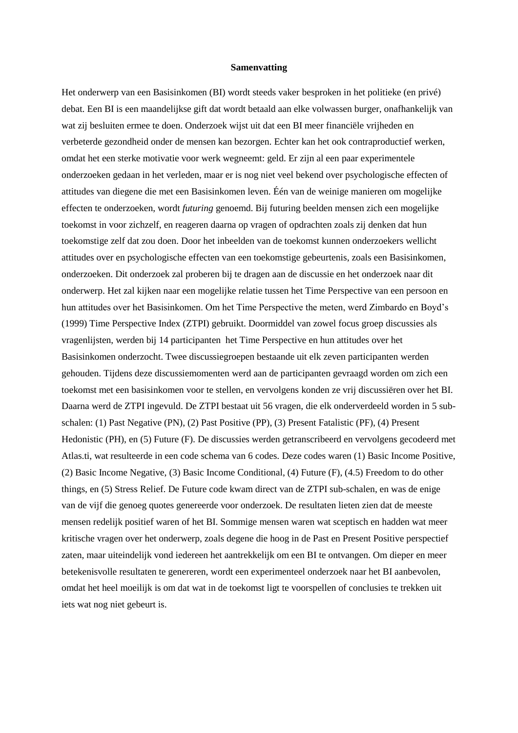#### **Samenvatting**

Het onderwerp van een Basisinkomen (BI) wordt steeds vaker besproken in het politieke (en privé) debat. Een BI is een maandelijkse gift dat wordt betaald aan elke volwassen burger, onafhankelijk van wat zij besluiten ermee te doen. Onderzoek wijst uit dat een BI meer financiële vrijheden en verbeterde gezondheid onder de mensen kan bezorgen. Echter kan het ook contraproductief werken, omdat het een sterke motivatie voor werk wegneemt: geld. Er zijn al een paar experimentele onderzoeken gedaan in het verleden, maar er is nog niet veel bekend over psychologische effecten of attitudes van diegene die met een Basisinkomen leven. Één van de weinige manieren om mogelijke effecten te onderzoeken, wordt *futuring* genoemd. Bij futuring beelden mensen zich een mogelijke toekomst in voor zichzelf, en reageren daarna op vragen of opdrachten zoals zij denken dat hun toekomstige zelf dat zou doen. Door het inbeelden van de toekomst kunnen onderzoekers wellicht attitudes over en psychologische effecten van een toekomstige gebeurtenis, zoals een Basisinkomen, onderzoeken. Dit onderzoek zal proberen bij te dragen aan de discussie en het onderzoek naar dit onderwerp. Het zal kijken naar een mogelijke relatie tussen het Time Perspective van een persoon en hun attitudes over het Basisinkomen. Om het Time Perspective the meten, werd Zimbardo en Boyd's (1999) Time Perspective Index (ZTPI) gebruikt. Doormiddel van zowel focus groep discussies als vragenlijsten, werden bij 14 participanten het Time Perspective en hun attitudes over het Basisinkomen onderzocht. Twee discussiegroepen bestaande uit elk zeven participanten werden gehouden. Tijdens deze discussiemomenten werd aan de participanten gevraagd worden om zich een toekomst met een basisinkomen voor te stellen, en vervolgens konden ze vrij discussiëren over het BI. Daarna werd de ZTPI ingevuld. De ZTPI bestaat uit 56 vragen, die elk onderverdeeld worden in 5 subschalen: (1) Past Negative (PN), (2) Past Positive (PP), (3) Present Fatalistic (PF), (4) Present Hedonistic (PH), en (5) Future (F). De discussies werden getranscribeerd en vervolgens gecodeerd met Atlas.ti, wat resulteerde in een code schema van 6 codes. Deze codes waren (1) Basic Income Positive, (2) Basic Income Negative, (3) Basic Income Conditional, (4) Future (F), (4.5) Freedom to do other things, en (5) Stress Relief. De Future code kwam direct van de ZTPI sub-schalen, en was de enige van de vijf die genoeg quotes genereerde voor onderzoek. De resultaten lieten zien dat de meeste mensen redelijk positief waren of het BI. Sommige mensen waren wat sceptisch en hadden wat meer kritische vragen over het onderwerp, zoals degene die hoog in de Past en Present Positive perspectief zaten, maar uiteindelijk vond iedereen het aantrekkelijk om een BI te ontvangen. Om dieper en meer betekenisvolle resultaten te genereren, wordt een experimenteel onderzoek naar het BI aanbevolen, omdat het heel moeilijk is om dat wat in de toekomst ligt te voorspellen of conclusies te trekken uit iets wat nog niet gebeurt is.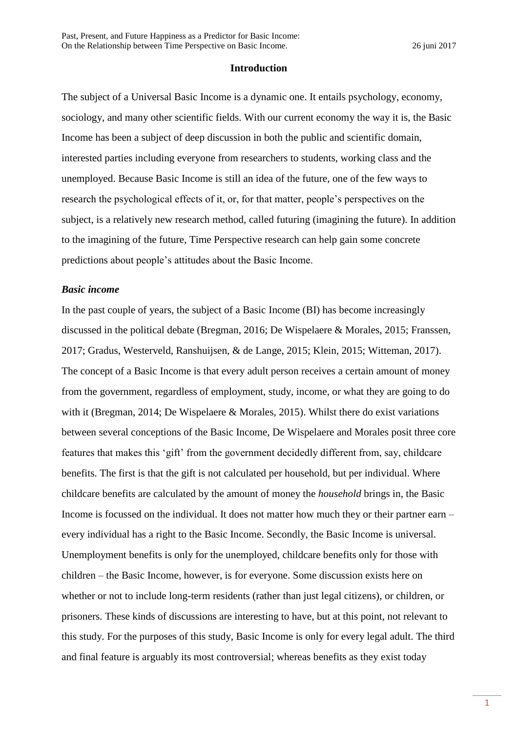#### **Introduction**

The subject of a Universal Basic Income is a dynamic one. It entails psychology, economy, sociology, and many other scientific fields. With our current economy the way it is, the Basic Income has been a subject of deep discussion in both the public and scientific domain, interested parties including everyone from researchers to students, working class and the unemployed. Because Basic Income is still an idea of the future, one of the few ways to research the psychological effects of it, or, for that matter, people's perspectives on the subject, is a relatively new research method, called futuring (imagining the future). In addition to the imagining of the future, Time Perspective research can help gain some concrete predictions about people's attitudes about the Basic Income.

#### *Basic income*

In the past couple of years, the subject of a Basic Income (BI) has become increasingly discussed in the political debate (Bregman, 2016; De Wispelaere & Morales, 2015; Franssen, 2017; Gradus, Westerveld, Ranshuijsen, & de Lange, 2015; Klein, 2015; Witteman, 2017). The concept of a Basic Income is that every adult person receives a certain amount of money from the government, regardless of employment, study, income, or what they are going to do with it (Bregman, 2014; De Wispelaere & Morales, 2015). Whilst there do exist variations between several conceptions of the Basic Income, De Wispelaere and Morales posit three core features that makes this 'gift' from the government decidedly different from, say, childcare benefits. The first is that the gift is not calculated per household, but per individual. Where childcare benefits are calculated by the amount of money the *household* brings in, the Basic Income is focussed on the individual. It does not matter how much they or their partner earn – every individual has a right to the Basic Income. Secondly, the Basic Income is universal. Unemployment benefits is only for the unemployed, childcare benefits only for those with children – the Basic Income, however, is for everyone. Some discussion exists here on whether or not to include long-term residents (rather than just legal citizens), or children, or prisoners. These kinds of discussions are interesting to have, but at this point, not relevant to this study. For the purposes of this study, Basic Income is only for every legal adult. The third and final feature is arguably its most controversial; whereas benefits as they exist today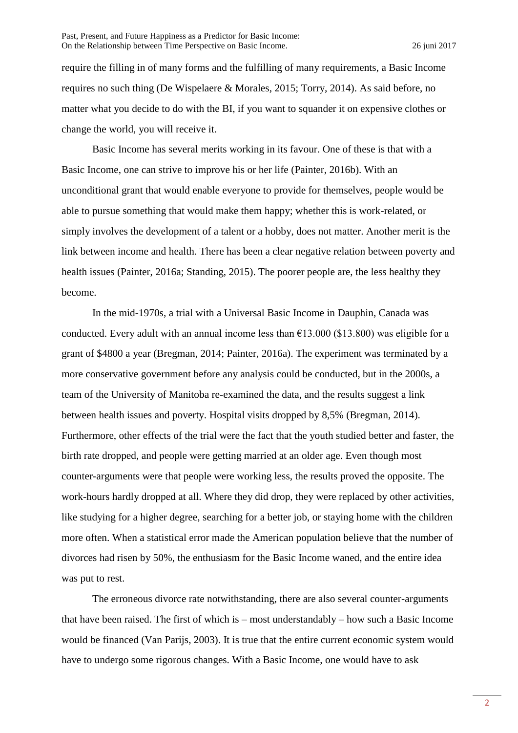require the filling in of many forms and the fulfilling of many requirements, a Basic Income requires no such thing (De Wispelaere & Morales, 2015; Torry, 2014). As said before, no matter what you decide to do with the BI, if you want to squander it on expensive clothes or change the world, you will receive it.

Basic Income has several merits working in its favour. One of these is that with a Basic Income, one can strive to improve his or her life (Painter, 2016b). With an unconditional grant that would enable everyone to provide for themselves, people would be able to pursue something that would make them happy; whether this is work-related, or simply involves the development of a talent or a hobby, does not matter. Another merit is the link between income and health. There has been a clear negative relation between poverty and health issues (Painter, 2016a; Standing, 2015). The poorer people are, the less healthy they become.

In the mid-1970s, a trial with a Universal Basic Income in Dauphin, Canada was conducted. Every adult with an annual income less than  $\epsilon$ 13.000 (\$13.800) was eligible for a grant of \$4800 a year (Bregman, 2014; Painter, 2016a). The experiment was terminated by a more conservative government before any analysis could be conducted, but in the 2000s, a team of the University of Manitoba re-examined the data, and the results suggest a link between health issues and poverty. Hospital visits dropped by 8,5% (Bregman, 2014). Furthermore, other effects of the trial were the fact that the youth studied better and faster, the birth rate dropped, and people were getting married at an older age. Even though most counter-arguments were that people were working less, the results proved the opposite. The work-hours hardly dropped at all. Where they did drop, they were replaced by other activities, like studying for a higher degree, searching for a better job, or staying home with the children more often. When a statistical error made the American population believe that the number of divorces had risen by 50%, the enthusiasm for the Basic Income waned, and the entire idea was put to rest.

The erroneous divorce rate notwithstanding, there are also several counter-arguments that have been raised. The first of which is – most understandably – how such a Basic Income would be financed (Van Parijs, 2003). It is true that the entire current economic system would have to undergo some rigorous changes. With a Basic Income, one would have to ask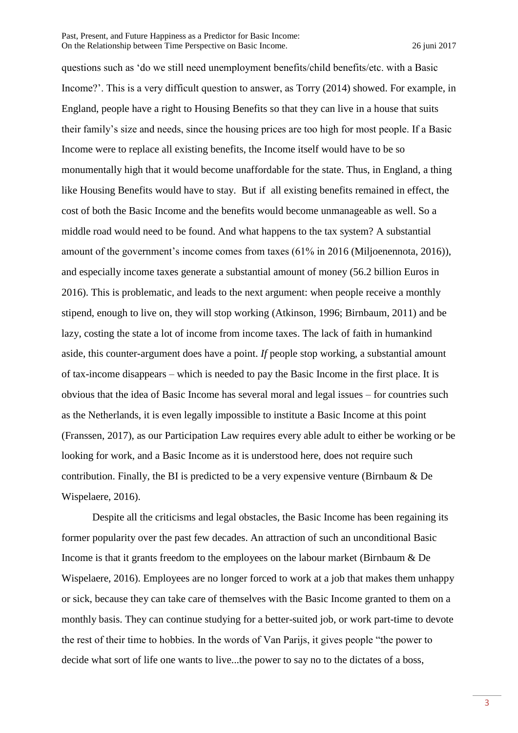questions such as 'do we still need unemployment benefits/child benefits/etc. with a Basic Income?'. This is a very difficult question to answer, as Torry (2014) showed. For example, in England, people have a right to Housing Benefits so that they can live in a house that suits their family's size and needs, since the housing prices are too high for most people. If a Basic Income were to replace all existing benefits, the Income itself would have to be so monumentally high that it would become unaffordable for the state. Thus, in England, a thing like Housing Benefits would have to stay. But if all existing benefits remained in effect, the cost of both the Basic Income and the benefits would become unmanageable as well. So a middle road would need to be found. And what happens to the tax system? A substantial amount of the government's income comes from taxes (61% in 2016 (Miljoenennota, 2016)), and especially income taxes generate a substantial amount of money (56.2 billion Euros in 2016). This is problematic, and leads to the next argument: when people receive a monthly stipend, enough to live on, they will stop working (Atkinson, 1996; Birnbaum, 2011) and be lazy, costing the state a lot of income from income taxes. The lack of faith in humankind aside, this counter-argument does have a point. *If* people stop working, a substantial amount of tax-income disappears – which is needed to pay the Basic Income in the first place. It is obvious that the idea of Basic Income has several moral and legal issues – for countries such as the Netherlands, it is even legally impossible to institute a Basic Income at this point (Franssen, 2017), as our Participation Law requires every able adult to either be working or be looking for work, and a Basic Income as it is understood here, does not require such contribution. Finally, the BI is predicted to be a very expensive venture (Birnbaum & De Wispelaere, 2016).

Despite all the criticisms and legal obstacles, the Basic Income has been regaining its former popularity over the past few decades. An attraction of such an unconditional Basic Income is that it grants freedom to the employees on the labour market (Birnbaum & De Wispelaere, 2016). Employees are no longer forced to work at a job that makes them unhappy or sick, because they can take care of themselves with the Basic Income granted to them on a monthly basis. They can continue studying for a better-suited job, or work part-time to devote the rest of their time to hobbies. In the words of Van Parijs, it gives people "the power to decide what sort of life one wants to live...the power to say no to the dictates of a boss,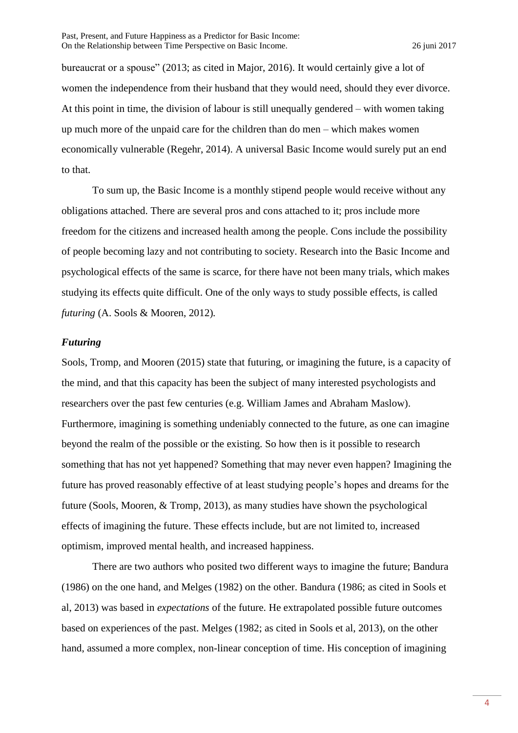bureaucrat or a spouse" (2013; as cited in Major, 2016). It would certainly give a lot of women the independence from their husband that they would need, should they ever divorce. At this point in time, the division of labour is still unequally gendered – with women taking up much more of the unpaid care for the children than do men – which makes women economically vulnerable (Regehr, 2014). A universal Basic Income would surely put an end to that.

To sum up, the Basic Income is a monthly stipend people would receive without any obligations attached. There are several pros and cons attached to it; pros include more freedom for the citizens and increased health among the people. Cons include the possibility of people becoming lazy and not contributing to society. Research into the Basic Income and psychological effects of the same is scarce, for there have not been many trials, which makes studying its effects quite difficult. One of the only ways to study possible effects, is called *futuring* (A. Sools & Mooren, 2012)*.*

## *Futuring*

Sools, Tromp, and Mooren (2015) state that futuring, or imagining the future, is a capacity of the mind, and that this capacity has been the subject of many interested psychologists and researchers over the past few centuries (e.g. William James and Abraham Maslow). Furthermore, imagining is something undeniably connected to the future, as one can imagine beyond the realm of the possible or the existing. So how then is it possible to research something that has not yet happened? Something that may never even happen? Imagining the future has proved reasonably effective of at least studying people's hopes and dreams for the future (Sools, Mooren, & Tromp, 2013), as many studies have shown the psychological effects of imagining the future. These effects include, but are not limited to, increased optimism, improved mental health, and increased happiness.

There are two authors who posited two different ways to imagine the future; Bandura (1986) on the one hand, and Melges (1982) on the other. Bandura (1986; as cited in Sools et al, 2013) was based in *expectations* of the future. He extrapolated possible future outcomes based on experiences of the past. Melges (1982; as cited in Sools et al, 2013), on the other hand, assumed a more complex, non-linear conception of time. His conception of imagining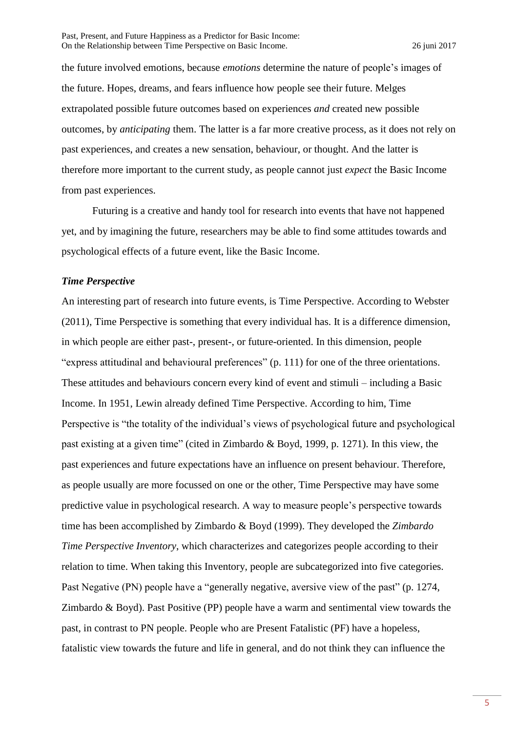the future involved emotions, because *emotions* determine the nature of people's images of the future. Hopes, dreams, and fears influence how people see their future. Melges extrapolated possible future outcomes based on experiences *and* created new possible outcomes, by *anticipating* them. The latter is a far more creative process, as it does not rely on past experiences, and creates a new sensation, behaviour, or thought. And the latter is therefore more important to the current study, as people cannot just *expect* the Basic Income from past experiences.

Futuring is a creative and handy tool for research into events that have not happened yet, and by imagining the future, researchers may be able to find some attitudes towards and psychological effects of a future event, like the Basic Income.

#### *Time Perspective*

An interesting part of research into future events, is Time Perspective. According to Webster (2011), Time Perspective is something that every individual has. It is a difference dimension, in which people are either past-, present-, or future-oriented. In this dimension, people "express attitudinal and behavioural preferences" (p. 111) for one of the three orientations. These attitudes and behaviours concern every kind of event and stimuli – including a Basic Income. In 1951, Lewin already defined Time Perspective. According to him, Time Perspective is "the totality of the individual's views of psychological future and psychological past existing at a given time" (cited in Zimbardo & Boyd, 1999, p. 1271). In this view, the past experiences and future expectations have an influence on present behaviour. Therefore, as people usually are more focussed on one or the other, Time Perspective may have some predictive value in psychological research. A way to measure people's perspective towards time has been accomplished by Zimbardo & Boyd (1999). They developed the *Zimbardo Time Perspective Inventory*, which characterizes and categorizes people according to their relation to time. When taking this Inventory, people are subcategorized into five categories. Past Negative (PN) people have a "generally negative, aversive view of the past" (p. 1274, Zimbardo & Boyd). Past Positive (PP) people have a warm and sentimental view towards the past, in contrast to PN people. People who are Present Fatalistic (PF) have a hopeless, fatalistic view towards the future and life in general, and do not think they can influence the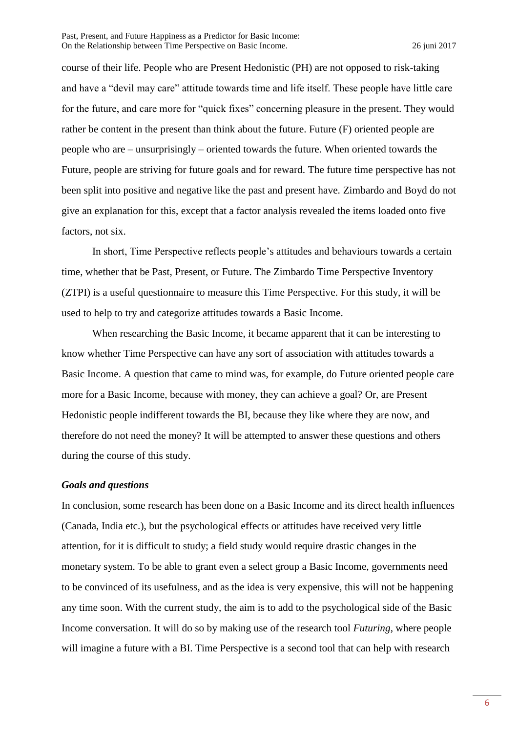course of their life. People who are Present Hedonistic (PH) are not opposed to risk-taking and have a "devil may care" attitude towards time and life itself. These people have little care for the future, and care more for "quick fixes" concerning pleasure in the present. They would rather be content in the present than think about the future. Future (F) oriented people are people who are – unsurprisingly – oriented towards the future. When oriented towards the Future, people are striving for future goals and for reward. The future time perspective has not been split into positive and negative like the past and present have. Zimbardo and Boyd do not give an explanation for this, except that a factor analysis revealed the items loaded onto five factors, not six.

In short, Time Perspective reflects people's attitudes and behaviours towards a certain time, whether that be Past, Present, or Future. The Zimbardo Time Perspective Inventory (ZTPI) is a useful questionnaire to measure this Time Perspective. For this study, it will be used to help to try and categorize attitudes towards a Basic Income.

When researching the Basic Income, it became apparent that it can be interesting to know whether Time Perspective can have any sort of association with attitudes towards a Basic Income. A question that came to mind was, for example, do Future oriented people care more for a Basic Income, because with money, they can achieve a goal? Or, are Present Hedonistic people indifferent towards the BI, because they like where they are now, and therefore do not need the money? It will be attempted to answer these questions and others during the course of this study.

#### *Goals and questions*

In conclusion, some research has been done on a Basic Income and its direct health influences (Canada, India etc.), but the psychological effects or attitudes have received very little attention, for it is difficult to study; a field study would require drastic changes in the monetary system. To be able to grant even a select group a Basic Income, governments need to be convinced of its usefulness, and as the idea is very expensive, this will not be happening any time soon. With the current study, the aim is to add to the psychological side of the Basic Income conversation. It will do so by making use of the research tool *Futuring*, where people will imagine a future with a BI. Time Perspective is a second tool that can help with research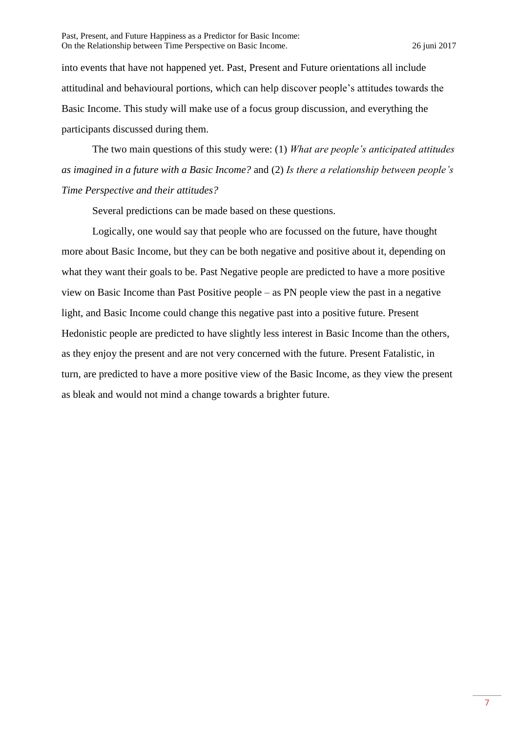into events that have not happened yet. Past, Present and Future orientations all include attitudinal and behavioural portions, which can help discover people's attitudes towards the Basic Income. This study will make use of a focus group discussion, and everything the participants discussed during them.

The two main questions of this study were: (1) *What are people's anticipated attitudes as imagined in a future with a Basic Income?* and (2) *Is there a relationship between people's Time Perspective and their attitudes?*

Several predictions can be made based on these questions.

Logically, one would say that people who are focussed on the future, have thought more about Basic Income, but they can be both negative and positive about it, depending on what they want their goals to be. Past Negative people are predicted to have a more positive view on Basic Income than Past Positive people – as PN people view the past in a negative light, and Basic Income could change this negative past into a positive future. Present Hedonistic people are predicted to have slightly less interest in Basic Income than the others, as they enjoy the present and are not very concerned with the future. Present Fatalistic, in turn, are predicted to have a more positive view of the Basic Income, as they view the present as bleak and would not mind a change towards a brighter future.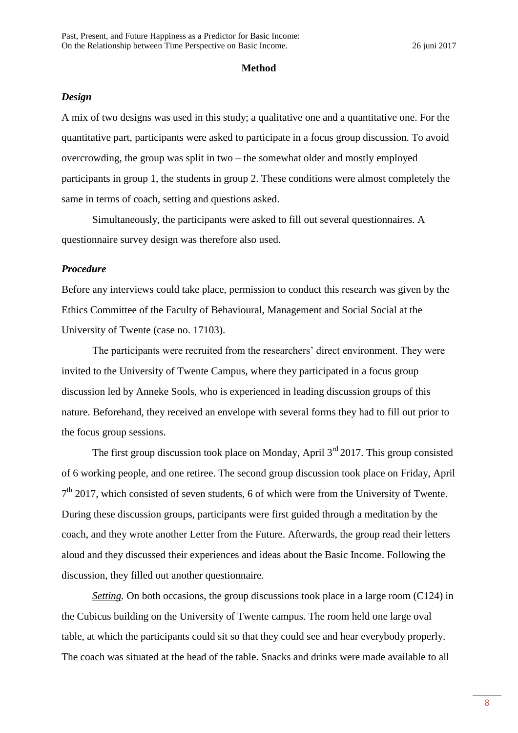#### **Method**

#### *Design*

A mix of two designs was used in this study; a qualitative one and a quantitative one. For the quantitative part, participants were asked to participate in a focus group discussion. To avoid overcrowding, the group was split in two – the somewhat older and mostly employed participants in group 1, the students in group 2. These conditions were almost completely the same in terms of coach, setting and questions asked.

Simultaneously, the participants were asked to fill out several questionnaires. A questionnaire survey design was therefore also used.

#### *Procedure*

Before any interviews could take place, permission to conduct this research was given by the Ethics Committee of the Faculty of Behavioural, Management and Social Social at the University of Twente (case no. 17103).

The participants were recruited from the researchers' direct environment. They were invited to the University of Twente Campus, where they participated in a focus group discussion led by Anneke Sools, who is experienced in leading discussion groups of this nature. Beforehand, they received an envelope with several forms they had to fill out prior to the focus group sessions.

The first group discussion took place on Monday, April  $3<sup>rd</sup> 2017$ . This group consisted of 6 working people, and one retiree. The second group discussion took place on Friday, April 7<sup>th</sup> 2017, which consisted of seven students, 6 of which were from the University of Twente. During these discussion groups, participants were first guided through a meditation by the coach, and they wrote another Letter from the Future. Afterwards, the group read their letters aloud and they discussed their experiences and ideas about the Basic Income. Following the discussion, they filled out another questionnaire.

*Setting*. On both occasions, the group discussions took place in a large room (C124) in the Cubicus building on the University of Twente campus. The room held one large oval table, at which the participants could sit so that they could see and hear everybody properly. The coach was situated at the head of the table. Snacks and drinks were made available to all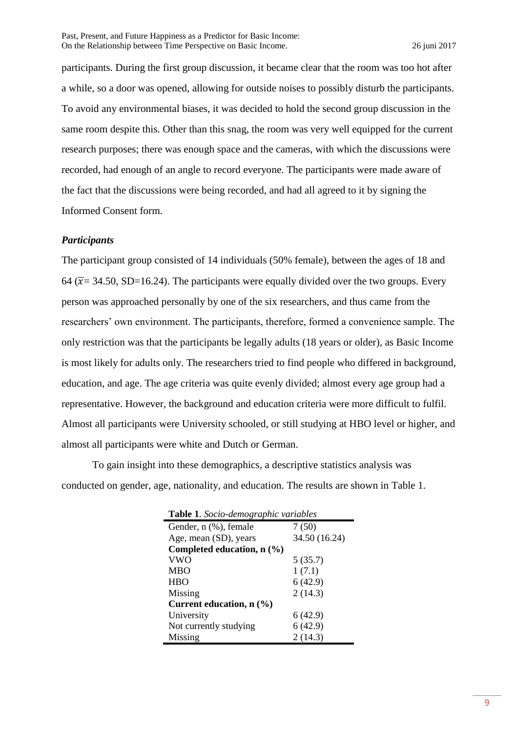participants. During the first group discussion, it became clear that the room was too hot after a while, so a door was opened, allowing for outside noises to possibly disturb the participants. To avoid any environmental biases, it was decided to hold the second group discussion in the same room despite this. Other than this snag, the room was very well equipped for the current research purposes; there was enough space and the cameras, with which the discussions were recorded, had enough of an angle to record everyone. The participants were made aware of the fact that the discussions were being recorded, and had all agreed to it by signing the Informed Consent form.

# *Participants*

The participant group consisted of 14 individuals (50% female), between the ages of 18 and 64 ( $\overline{x}$  = 34.50, SD=16.24). The participants were equally divided over the two groups. Every person was approached personally by one of the six researchers, and thus came from the researchers' own environment. The participants, therefore, formed a convenience sample. The only restriction was that the participants be legally adults (18 years or older), as Basic Income is most likely for adults only. The researchers tried to find people who differed in background, education, and age. The age criteria was quite evenly divided; almost every age group had a representative. However, the background and education criteria were more difficult to fulfil. Almost all participants were University schooled, or still studying at HBO level or higher, and almost all participants were white and Dutch or German.

To gain insight into these demographics, a descriptive statistics analysis was conducted on gender, age, nationality, and education. The results are shown in Table 1.

| <b>Table 1.</b> Socio-demographic variables |               |  |  |  |  |  |  |
|---------------------------------------------|---------------|--|--|--|--|--|--|
| Gender, n (%), female                       | 7(50)         |  |  |  |  |  |  |
| Age, mean (SD), years                       | 34.50 (16.24) |  |  |  |  |  |  |
| Completed education, $n$ $(\%)$             |               |  |  |  |  |  |  |
| <b>VWO</b>                                  | 5(35.7)       |  |  |  |  |  |  |
| <b>MBO</b>                                  | 1(7.1)        |  |  |  |  |  |  |
| <b>HBO</b>                                  | 6(42.9)       |  |  |  |  |  |  |
| Missing                                     | 2(14.3)       |  |  |  |  |  |  |
| Current education, $n$ $(\% )$              |               |  |  |  |  |  |  |
| University                                  | 6 (42.9)      |  |  |  |  |  |  |
| Not currently studying                      | 6(42.9)       |  |  |  |  |  |  |
| Missing                                     | 2(14.3)       |  |  |  |  |  |  |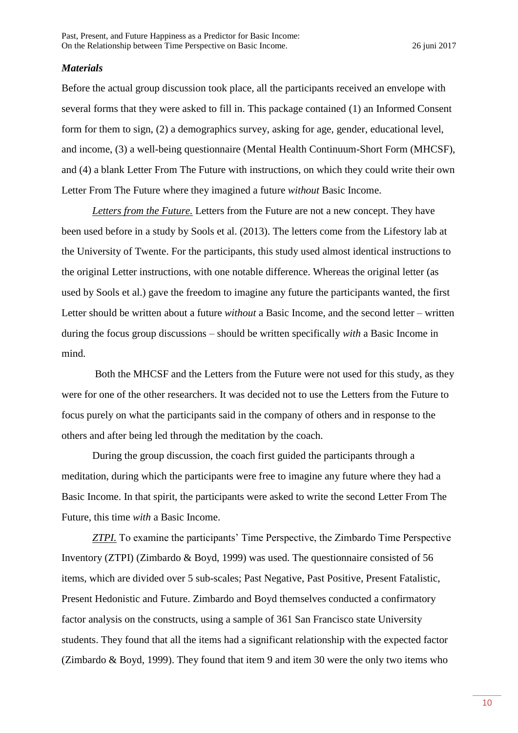#### *Materials*

Before the actual group discussion took place, all the participants received an envelope with several forms that they were asked to fill in. This package contained (1) an Informed Consent form for them to sign, (2) a demographics survey, asking for age, gender, educational level, and income, (3) a well-being questionnaire (Mental Health Continuum-Short Form (MHCSF), and (4) a blank Letter From The Future with instructions, on which they could write their own Letter From The Future where they imagined a future *without* Basic Income.

*Letters from the Future.* Letters from the Future are not a new concept. They have been used before in a study by Sools et al. (2013). The letters come from the Lifestory lab at the University of Twente. For the participants, this study used almost identical instructions to the original Letter instructions, with one notable difference. Whereas the original letter (as used by Sools et al.) gave the freedom to imagine any future the participants wanted, the first Letter should be written about a future *without* a Basic Income, and the second letter – written during the focus group discussions – should be written specifically *with* a Basic Income in mind.

Both the MHCSF and the Letters from the Future were not used for this study, as they were for one of the other researchers. It was decided not to use the Letters from the Future to focus purely on what the participants said in the company of others and in response to the others and after being led through the meditation by the coach.

During the group discussion, the coach first guided the participants through a meditation, during which the participants were free to imagine any future where they had a Basic Income. In that spirit, the participants were asked to write the second Letter From The Future, this time *with* a Basic Income.

*ZTPI*. To examine the participants' Time Perspective, the Zimbardo Time Perspective Inventory (ZTPI) (Zimbardo & Boyd, 1999) was used. The questionnaire consisted of 56 items, which are divided over 5 sub-scales; Past Negative, Past Positive, Present Fatalistic, Present Hedonistic and Future. Zimbardo and Boyd themselves conducted a confirmatory factor analysis on the constructs, using a sample of 361 San Francisco state University students. They found that all the items had a significant relationship with the expected factor (Zimbardo & Boyd, 1999). They found that item 9 and item 30 were the only two items who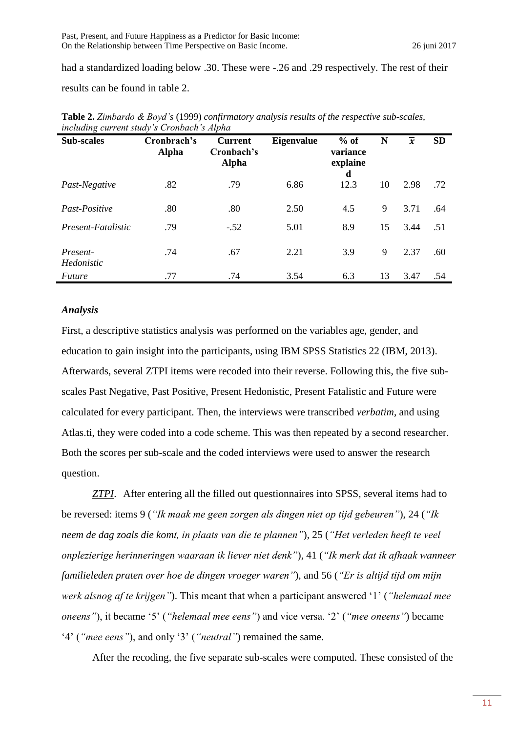had a standardized loading below .30. These were -.26 and .29 respectively. The rest of their results can be found in table 2.

| $\circ$<br><b>Sub-scales</b>  | Cronbrach's<br><b>Alpha</b> | <b>Current</b><br>Cronbach's<br><b>Alpha</b> | <b>Eigenvalue</b> | $%$ of<br>variance<br>explaine<br>d | N  | $\overline{x}$ | <b>SD</b> |
|-------------------------------|-----------------------------|----------------------------------------------|-------------------|-------------------------------------|----|----------------|-----------|
| Past-Negative                 | .82                         | .79                                          | 6.86              | 12.3                                | 10 | 2.98           | .72       |
| Past-Positive                 | .80                         | .80                                          | 2.50              | 4.5                                 | 9  | 3.71           | .64       |
| Present-Fatalistic            | .79                         | $-.52$                                       | 5.01              | 8.9                                 | 15 | 3.44           | .51       |
| Present-<br><i>Hedonistic</i> | .74                         | .67                                          | 2.21              | 3.9                                 | 9  | 2.37           | .60       |
| <i>Future</i>                 | .77                         | .74                                          | 3.54              | 6.3                                 | 13 | 3.47           | .54       |

**Table 2.** *Zimbardo & Boyd's* (1999) *confirmatory analysis results of the respective sub-scales, including current study's Cronbach's Alpha*

## *Analysis*

First, a descriptive statistics analysis was performed on the variables age, gender, and education to gain insight into the participants, using IBM SPSS Statistics 22 (IBM, 2013). Afterwards, several ZTPI items were recoded into their reverse. Following this, the five subscales Past Negative, Past Positive, Present Hedonistic, Present Fatalistic and Future were calculated for every participant. Then, the interviews were transcribed *verbatim*, and using Atlas.ti, they were coded into a code scheme. This was then repeated by a second researcher. Both the scores per sub-scale and the coded interviews were used to answer the research question.

*ZTPI*. After entering all the filled out questionnaires into SPSS, several items had to be reversed: items 9 (*"Ik maak me geen zorgen als dingen niet op tijd gebeuren"*), 24 (*"Ik neem de dag zoals die komt, in plaats van die te plannen"*), 25 (*"Het verleden heeft te veel onplezierige herinneringen waaraan ik liever niet denk"*), 41 (*"Ik merk dat ik afhaak wanneer familieleden praten over hoe de dingen vroeger waren"*), and 56 (*"Er is altijd tijd om mijn werk alsnog af te krijgen"*). This meant that when a participant answered '1' (*"helemaal mee oneens"*), it became '5' (*"helemaal mee eens"*) and vice versa. '2' (*"mee oneens"*) became '4' (*"mee eens"*), and only '3' (*"neutral"*) remained the same.

After the recoding, the five separate sub-scales were computed. These consisted of the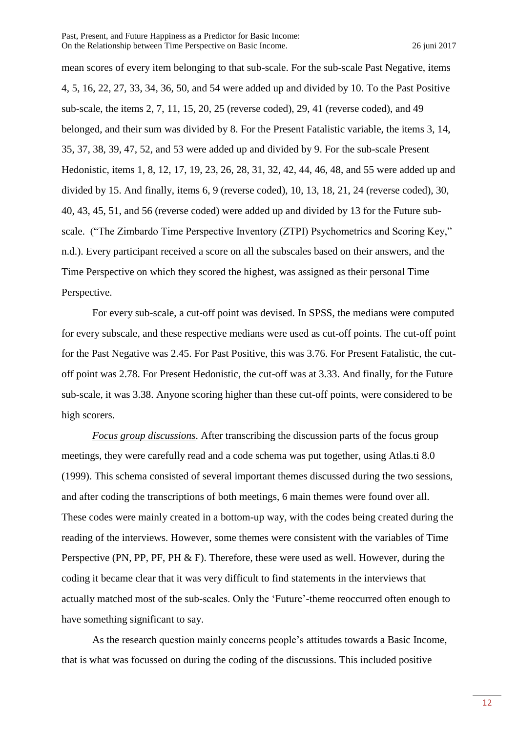mean scores of every item belonging to that sub-scale. For the sub-scale Past Negative, items 4, 5, 16, 22, 27, 33, 34, 36, 50, and 54 were added up and divided by 10. To the Past Positive sub-scale, the items 2, 7, 11, 15, 20, 25 (reverse coded), 29, 41 (reverse coded), and 49 belonged, and their sum was divided by 8. For the Present Fatalistic variable, the items 3, 14, 35, 37, 38, 39, 47, 52, and 53 were added up and divided by 9. For the sub-scale Present Hedonistic, items 1, 8, 12, 17, 19, 23, 26, 28, 31, 32, 42, 44, 46, 48, and 55 were added up and divided by 15. And finally, items 6, 9 (reverse coded), 10, 13, 18, 21, 24 (reverse coded), 30, 40, 43, 45, 51, and 56 (reverse coded) were added up and divided by 13 for the Future subscale. ("The Zimbardo Time Perspective Inventory (ZTPI) Psychometrics and Scoring Key," n.d.). Every participant received a score on all the subscales based on their answers, and the Time Perspective on which they scored the highest, was assigned as their personal Time Perspective.

For every sub-scale, a cut-off point was devised. In SPSS, the medians were computed for every subscale, and these respective medians were used as cut-off points. The cut-off point for the Past Negative was 2.45. For Past Positive, this was 3.76. For Present Fatalistic, the cutoff point was 2.78. For Present Hedonistic, the cut-off was at 3.33. And finally, for the Future sub-scale, it was 3.38. Anyone scoring higher than these cut-off points, were considered to be high scorers.

*Focus group discussions*. After transcribing the discussion parts of the focus group meetings, they were carefully read and a code schema was put together, using Atlas.ti 8.0 (1999). This schema consisted of several important themes discussed during the two sessions, and after coding the transcriptions of both meetings, 6 main themes were found over all. These codes were mainly created in a bottom-up way, with the codes being created during the reading of the interviews. However, some themes were consistent with the variables of Time Perspective (PN, PP, PF, PH & F). Therefore, these were used as well. However, during the coding it became clear that it was very difficult to find statements in the interviews that actually matched most of the sub-scales. Only the 'Future'-theme reoccurred often enough to have something significant to say.

As the research question mainly concerns people's attitudes towards a Basic Income, that is what was focussed on during the coding of the discussions. This included positive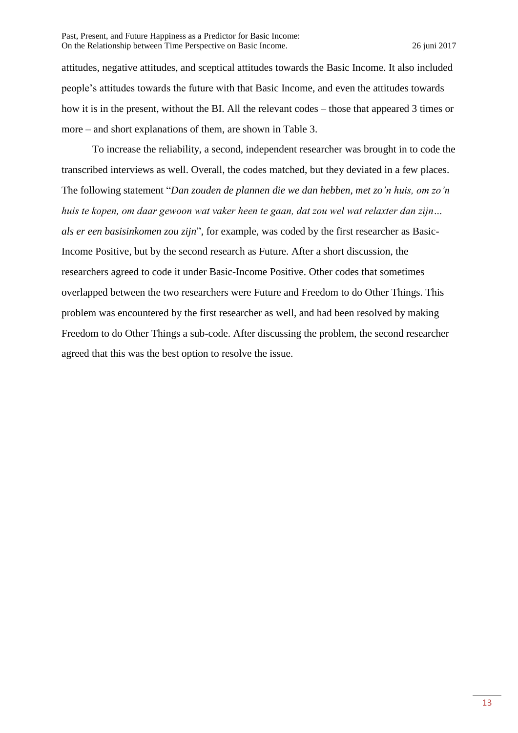attitudes, negative attitudes, and sceptical attitudes towards the Basic Income. It also included people's attitudes towards the future with that Basic Income, and even the attitudes towards how it is in the present, without the BI. All the relevant codes – those that appeared 3 times or more – and short explanations of them, are shown in Table 3.

To increase the reliability, a second, independent researcher was brought in to code the transcribed interviews as well. Overall, the codes matched, but they deviated in a few places. The following statement "*Dan zouden de plannen die we dan hebben, met zo'n huis, om zo'n huis te kopen, om daar gewoon wat vaker heen te gaan, dat zou wel wat relaxter dan zijn… als er een basisinkomen zou zijn*", for example, was coded by the first researcher as Basic-Income Positive, but by the second research as Future. After a short discussion, the researchers agreed to code it under Basic-Income Positive. Other codes that sometimes overlapped between the two researchers were Future and Freedom to do Other Things. This problem was encountered by the first researcher as well, and had been resolved by making Freedom to do Other Things a sub-code. After discussing the problem, the second researcher agreed that this was the best option to resolve the issue.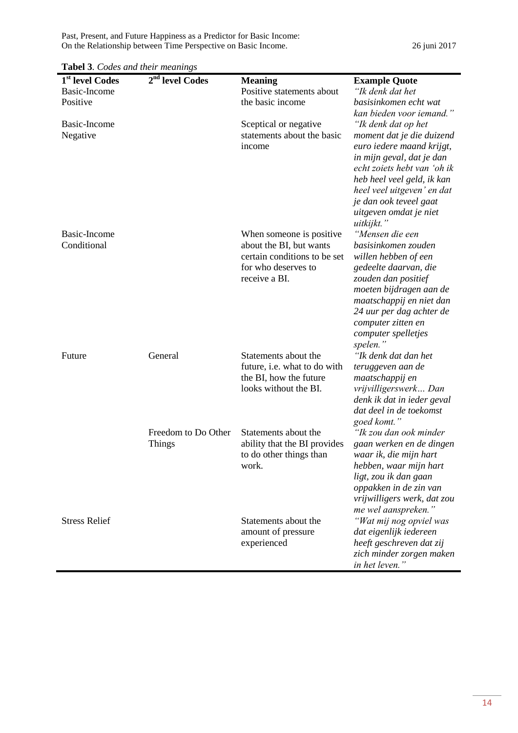Past, Present, and Future Happiness as a Predictor for Basic Income: On the Relationship between Time Perspective on Basic Income. 26 juni 2017

| <b>Tabel 3.</b> Codes and their meanings                           |                                      |                                                                                                                              |                                                                                                                                                                                                                                                                         |  |  |  |
|--------------------------------------------------------------------|--------------------------------------|------------------------------------------------------------------------------------------------------------------------------|-------------------------------------------------------------------------------------------------------------------------------------------------------------------------------------------------------------------------------------------------------------------------|--|--|--|
| $\overline{1}^{st}$ level Codes<br><b>Basic-Income</b><br>Positive | 2 <sup>nd</sup> level Codes          | <b>Meaning</b><br>Positive statements about<br>the basic income                                                              | <b>Example Quote</b><br>"Ik denk dat het<br>basisinkomen echt wat<br>kan bieden voor iemand."                                                                                                                                                                           |  |  |  |
| Basic-Income<br>Negative                                           |                                      | Sceptical or negative<br>statements about the basic<br>income                                                                | "Ik denk dat op het<br>moment dat je die duizend<br>euro iedere maand krijgt,<br>in mijn geval, dat je dan<br>echt zoiets hebt van 'oh ik<br>heb heel veel geld, ik kan<br>heel veel uitgeven' en dat<br>je dan ook teveel gaat<br>uitgeven omdat je niet<br>uitkijkt." |  |  |  |
| Basic-Income<br>Conditional                                        |                                      | When someone is positive.<br>about the BI, but wants<br>certain conditions to be set<br>for who deserves to<br>receive a BI. | "Mensen die een<br>basisinkomen zouden<br>willen hebben of een<br>gedeelte daarvan, die<br>zouden dan positief<br>moeten bijdragen aan de<br>maatschappij en niet dan<br>24 uur per dag achter de<br>computer zitten en<br>computer spelletjes<br>spelen."              |  |  |  |
| Future                                                             | General                              | Statements about the<br>future, i.e. what to do with<br>the BI, how the future<br>looks without the BI.                      | "Ik denk dat dan het<br>teruggeven aan de<br>maatschappij en<br>vrijvilligerswerk Dan<br>denk ik dat in ieder geval<br>dat deel in de toekomst<br>goed komt."                                                                                                           |  |  |  |
|                                                                    | Freedom to Do Other<br><b>Things</b> | Statements about the<br>ability that the BI provides<br>to do other things than<br>work.                                     | "Ik zou dan ook minder<br>gaan werken en de dingen<br>waar ik, die mijn hart<br>hebben, waar mijn hart<br>ligt, zou ik dan gaan<br>oppakken in de zin van<br>vrijwilligers werk, dat zou<br>me wel aanspreken."                                                         |  |  |  |
| <b>Stress Relief</b>                                               |                                      | Statements about the<br>amount of pressure<br>experienced                                                                    | "Wat mij nog opviel was<br>dat eigenlijk iedereen<br>heeft geschreven dat zij<br>zich minder zorgen maken<br>in het leven."                                                                                                                                             |  |  |  |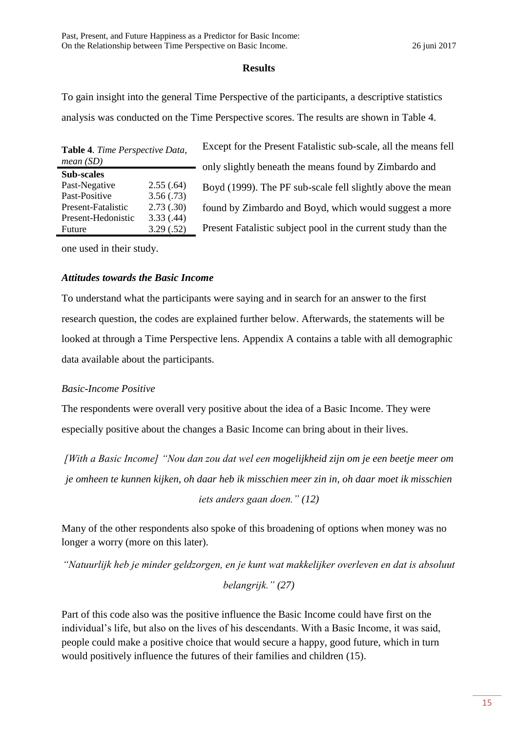# **Results**

To gain insight into the general Time Perspective of the participants, a descriptive statistics analysis was conducted on the Time Perspective scores. The results are shown in Table 4.

| Table 4. Time Perspective Data, |           |  |  |
|---------------------------------|-----------|--|--|
| mean(SD)                        |           |  |  |
| <b>Sub-scales</b>               |           |  |  |
| Past-Negative                   | 2.55(.64) |  |  |
| Past-Positive                   | 3.56(.73) |  |  |
| Present-Fatalistic              | 2.73(.30) |  |  |
| Present-Hedonistic              | 3.33(.44) |  |  |
| Future                          | 3.29(.52) |  |  |

Except for the Present Fatalistic sub-scale, all the means fell only slightly beneath the means found by Zimbardo and Boyd (1999). The PF sub-scale fell slightly above the mean found by Zimbardo and Boyd, which would suggest a more Present Fatalistic subject pool in the current study than the

one used in their study.

# *Attitudes towards the Basic Income*

To understand what the participants were saying and in search for an answer to the first research question, the codes are explained further below. Afterwards, the statements will be looked at through a Time Perspective lens. Appendix A contains a table with all demographic data available about the participants.

# *Basic-Income Positive*

The respondents were overall very positive about the idea of a Basic Income. They were especially positive about the changes a Basic Income can bring about in their lives.

*[With a Basic Income] "Nou dan zou dat wel een mogelijkheid zijn om je een beetje meer om je omheen te kunnen kijken, oh daar heb ik misschien meer zin in, oh daar moet ik misschien iets anders gaan doen." (12)*

Many of the other respondents also spoke of this broadening of options when money was no longer a worry (more on this later).

*"Natuurlijk heb je minder geldzorgen, en je kunt wat makkelijker overleven en dat is absoluut belangrijk." (27)*

Part of this code also was the positive influence the Basic Income could have first on the individual's life, but also on the lives of his descendants. With a Basic Income, it was said, people could make a positive choice that would secure a happy, good future, which in turn would positively influence the futures of their families and children (15).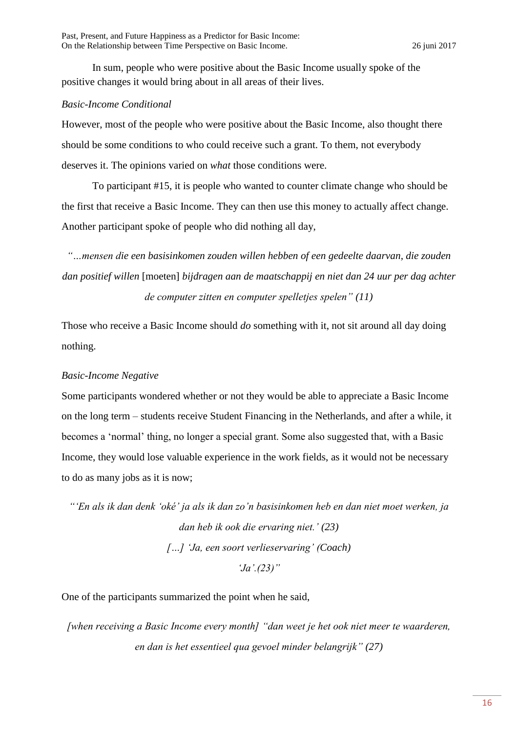In sum, people who were positive about the Basic Income usually spoke of the positive changes it would bring about in all areas of their lives.

# *Basic-Income Conditional*

However, most of the people who were positive about the Basic Income, also thought there should be some conditions to who could receive such a grant. To them, not everybody deserves it. The opinions varied on *what* those conditions were.

To participant #15, it is people who wanted to counter climate change who should be the first that receive a Basic Income. They can then use this money to actually affect change. Another participant spoke of people who did nothing all day,

*"…mensen die een basisinkomen zouden willen hebben of een gedeelte daarvan, die zouden dan positief willen* [moeten] *bijdragen aan de maatschappij en niet dan 24 uur per dag achter de computer zitten en computer spelletjes spelen" (11)*

Those who receive a Basic Income should *do* something with it, not sit around all day doing nothing.

# *Basic-Income Negative*

Some participants wondered whether or not they would be able to appreciate a Basic Income on the long term – students receive Student Financing in the Netherlands, and after a while, it becomes a 'normal' thing, no longer a special grant. Some also suggested that, with a Basic Income, they would lose valuable experience in the work fields, as it would not be necessary to do as many jobs as it is now;

*"'En als ik dan denk 'oké' ja als ik dan zo'n basisinkomen heb en dan niet moet werken, ja dan heb ik ook die ervaring niet.' (23) […] 'Ja, een soort verlieservaring' (Coach) 'Ja'.(23)"*

One of the participants summarized the point when he said,

*[when receiving a Basic Income every month] "dan weet je het ook niet meer te waarderen, en dan is het essentieel qua gevoel minder belangrijk" (27)*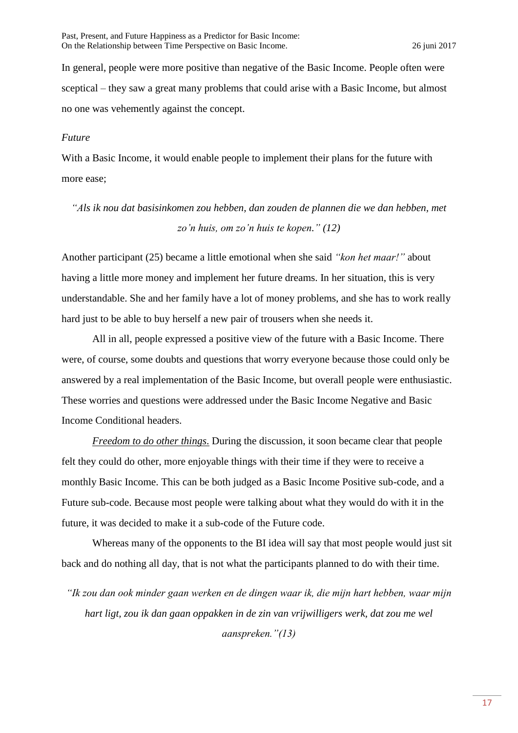In general, people were more positive than negative of the Basic Income. People often were sceptical – they saw a great many problems that could arise with a Basic Income, but almost no one was vehemently against the concept.

## *Future*

With a Basic Income, it would enable people to implement their plans for the future with more ease;

# *"Als ik nou dat basisinkomen zou hebben, dan zouden de plannen die we dan hebben, met zo'n huis, om zo'n huis te kopen." (12)*

Another participant (25) became a little emotional when she said *"kon het maar!"* about having a little more money and implement her future dreams. In her situation, this is very understandable. She and her family have a lot of money problems, and she has to work really hard just to be able to buy herself a new pair of trousers when she needs it.

All in all, people expressed a positive view of the future with a Basic Income. There were, of course, some doubts and questions that worry everyone because those could only be answered by a real implementation of the Basic Income, but overall people were enthusiastic. These worries and questions were addressed under the Basic Income Negative and Basic Income Conditional headers.

*Freedom to do other things*. During the discussion, it soon became clear that people felt they could do other, more enjoyable things with their time if they were to receive a monthly Basic Income. This can be both judged as a Basic Income Positive sub-code, and a Future sub-code. Because most people were talking about what they would do with it in the future, it was decided to make it a sub-code of the Future code.

Whereas many of the opponents to the BI idea will say that most people would just sit back and do nothing all day, that is not what the participants planned to do with their time.

*"Ik zou dan ook minder gaan werken en de dingen waar ik, die mijn hart hebben, waar mijn hart ligt, zou ik dan gaan oppakken in de zin van vrijwilligers werk, dat zou me wel aanspreken."(13)*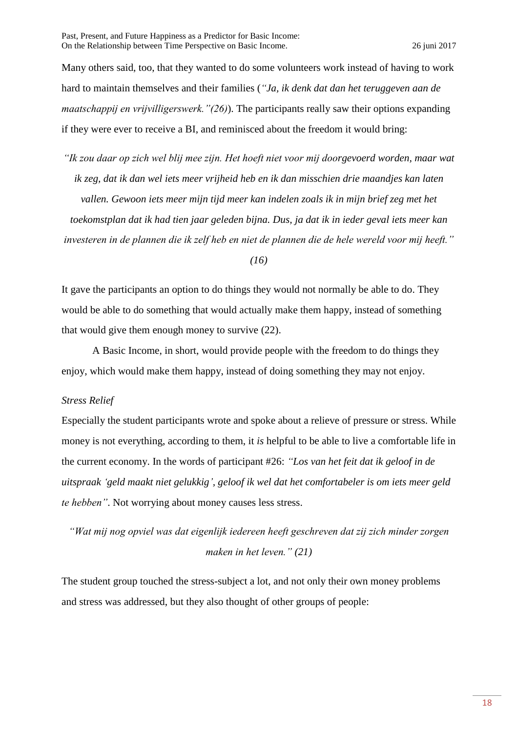Many others said, too, that they wanted to do some volunteers work instead of having to work hard to maintain themselves and their families (*"Ja, ik denk dat dan het teruggeven aan de maatschappij en vrijvilligerswerk."(26)*). The participants really saw their options expanding if they were ever to receive a BI, and reminisced about the freedom it would bring:

*"Ik zou daar op zich wel blij mee zijn. Het hoeft niet voor mij doorgevoerd worden, maar wat ik zeg, dat ik dan wel iets meer vrijheid heb en ik dan misschien drie maandjes kan laten*  vallen. Gewoon iets meer mijn tijd meer kan indelen zoals ik in mijn brief zeg met het *toekomstplan dat ik had tien jaar geleden bijna. Dus, ja dat ik in ieder geval iets meer kan investeren in de plannen die ik zelf heb en niet de plannen die de hele wereld voor mij heeft."* 

*(16)*

It gave the participants an option to do things they would not normally be able to do. They would be able to do something that would actually make them happy, instead of something that would give them enough money to survive (22).

A Basic Income, in short, would provide people with the freedom to do things they enjoy, which would make them happy, instead of doing something they may not enjoy.

## *Stress Relief*

Especially the student participants wrote and spoke about a relieve of pressure or stress. While money is not everything, according to them, it *is* helpful to be able to live a comfortable life in the current economy. In the words of participant #26: *"Los van het feit dat ik geloof in de uitspraak 'geld maakt niet gelukkig', geloof ik wel dat het comfortabeler is om iets meer geld te hebben"*. Not worrying about money causes less stress.

*"Wat mij nog opviel was dat eigenlijk iedereen heeft geschreven dat zij zich minder zorgen maken in het leven." (21)*

The student group touched the stress-subject a lot, and not only their own money problems and stress was addressed, but they also thought of other groups of people: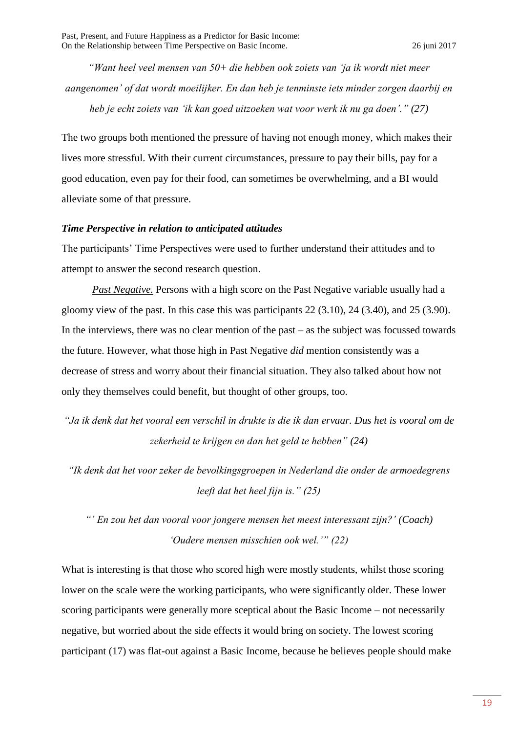*"Want heel veel mensen van 50+ die hebben ook zoiets van 'ja ik wordt niet meer aangenomen' of dat wordt moeilijker. En dan heb je tenminste iets minder zorgen daarbij en heb je echt zoiets van 'ik kan goed uitzoeken wat voor werk ik nu ga doen'." (27)*

The two groups both mentioned the pressure of having not enough money, which makes their lives more stressful. With their current circumstances, pressure to pay their bills, pay for a good education, even pay for their food, can sometimes be overwhelming, and a BI would alleviate some of that pressure.

#### *Time Perspective in relation to anticipated attitudes*

The participants' Time Perspectives were used to further understand their attitudes and to attempt to answer the second research question.

*Past Negative.* Persons with a high score on the Past Negative variable usually had a gloomy view of the past. In this case this was participants  $22$  (3.10),  $24$  (3.40), and  $25$  (3.90). In the interviews, there was no clear mention of the past  $-$  as the subject was focussed towards the future. However, what those high in Past Negative *did* mention consistently was a decrease of stress and worry about their financial situation. They also talked about how not only they themselves could benefit, but thought of other groups, too.

*"Ja ik denk dat het vooral een verschil in drukte is die ik dan ervaar. Dus het is vooral om de zekerheid te krijgen en dan het geld te hebben" (24)*

*"Ik denk dat het voor zeker de bevolkingsgroepen in Nederland die onder de armoedegrens leeft dat het heel fijn is." (25)*

*"' En zou het dan vooral voor jongere mensen het meest interessant zijn?' (Coach) 'Oudere mensen misschien ook wel.'" (22)*

What is interesting is that those who scored high were mostly students, whilst those scoring lower on the scale were the working participants, who were significantly older. These lower scoring participants were generally more sceptical about the Basic Income – not necessarily negative, but worried about the side effects it would bring on society. The lowest scoring participant (17) was flat-out against a Basic Income, because he believes people should make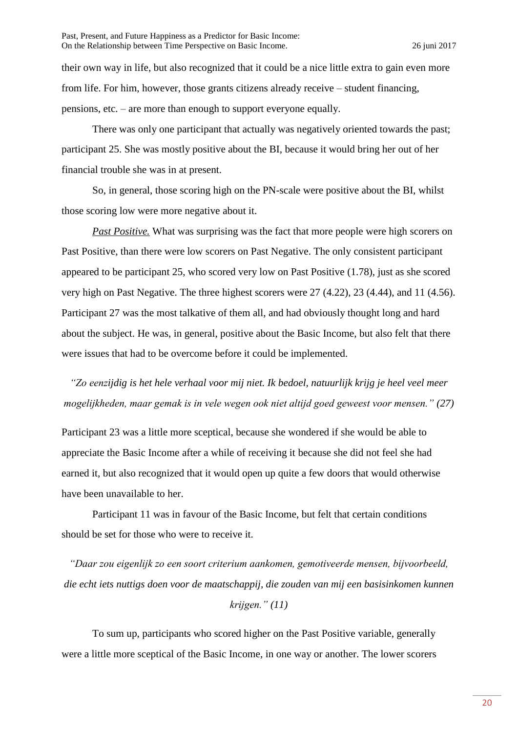their own way in life, but also recognized that it could be a nice little extra to gain even more from life. For him, however, those grants citizens already receive – student financing, pensions, etc. – are more than enough to support everyone equally.

There was only one participant that actually was negatively oriented towards the past; participant 25. She was mostly positive about the BI, because it would bring her out of her financial trouble she was in at present.

So, in general, those scoring high on the PN-scale were positive about the BI, whilst those scoring low were more negative about it.

*Past Positive.* What was surprising was the fact that more people were high scorers on Past Positive, than there were low scorers on Past Negative. The only consistent participant appeared to be participant 25, who scored very low on Past Positive (1.78), just as she scored very high on Past Negative. The three highest scorers were 27 (4.22), 23 (4.44), and 11 (4.56). Participant 27 was the most talkative of them all, and had obviously thought long and hard about the subject. He was, in general, positive about the Basic Income, but also felt that there were issues that had to be overcome before it could be implemented.

*"Zo eenzijdig is het hele verhaal voor mij niet. Ik bedoel, natuurlijk krijg je heel veel meer mogelijkheden, maar gemak is in vele wegen ook niet altijd goed geweest voor mensen." (27)*

Participant 23 was a little more sceptical, because she wondered if she would be able to appreciate the Basic Income after a while of receiving it because she did not feel she had earned it, but also recognized that it would open up quite a few doors that would otherwise have been unavailable to her.

Participant 11 was in favour of the Basic Income, but felt that certain conditions should be set for those who were to receive it.

*"Daar zou eigenlijk zo een soort criterium aankomen, gemotiveerde mensen, bijvoorbeeld, die echt iets nuttigs doen voor de maatschappij, die zouden van mij een basisinkomen kunnen krijgen." (11)*

To sum up, participants who scored higher on the Past Positive variable, generally were a little more sceptical of the Basic Income, in one way or another. The lower scorers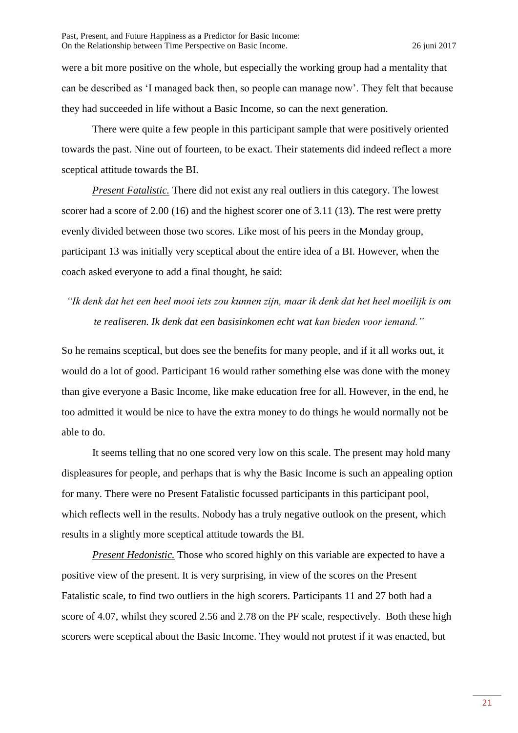were a bit more positive on the whole, but especially the working group had a mentality that can be described as 'I managed back then, so people can manage now'. They felt that because they had succeeded in life without a Basic Income, so can the next generation.

There were quite a few people in this participant sample that were positively oriented towards the past. Nine out of fourteen, to be exact. Their statements did indeed reflect a more sceptical attitude towards the BI.

*Present Fatalistic.* There did not exist any real outliers in this category. The lowest scorer had a score of 2.00 (16) and the highest scorer one of 3.11 (13). The rest were pretty evenly divided between those two scores. Like most of his peers in the Monday group, participant 13 was initially very sceptical about the entire idea of a BI. However, when the coach asked everyone to add a final thought, he said:

# *"Ik denk dat het een heel mooi iets zou kunnen zijn, maar ik denk dat het heel moeilijk is om te realiseren. Ik denk dat een basisinkomen echt wat kan bieden voor iemand."*

So he remains sceptical, but does see the benefits for many people, and if it all works out, it would do a lot of good. Participant 16 would rather something else was done with the money than give everyone a Basic Income, like make education free for all. However, in the end, he too admitted it would be nice to have the extra money to do things he would normally not be able to do.

It seems telling that no one scored very low on this scale. The present may hold many displeasures for people, and perhaps that is why the Basic Income is such an appealing option for many. There were no Present Fatalistic focussed participants in this participant pool, which reflects well in the results. Nobody has a truly negative outlook on the present, which results in a slightly more sceptical attitude towards the BI.

*Present Hedonistic.* Those who scored highly on this variable are expected to have a positive view of the present. It is very surprising, in view of the scores on the Present Fatalistic scale, to find two outliers in the high scorers. Participants 11 and 27 both had a score of 4.07, whilst they scored 2.56 and 2.78 on the PF scale, respectively. Both these high scorers were sceptical about the Basic Income. They would not protest if it was enacted, but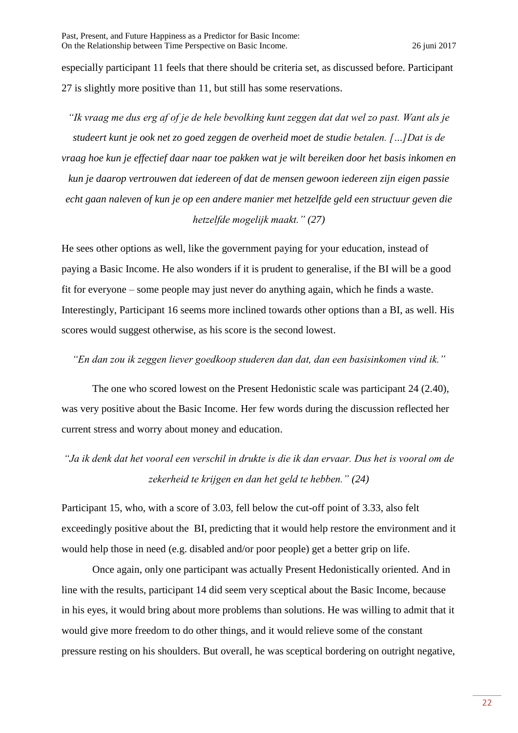especially participant 11 feels that there should be criteria set, as discussed before. Participant 27 is slightly more positive than 11, but still has some reservations.

*"Ik vraag me dus erg af of je de hele bevolking kunt zeggen dat dat wel zo past. Want als je studeert kunt je ook net zo goed zeggen de overheid moet de studie betalen. […]Dat is de vraag hoe kun je effectief daar naar toe pakken wat je wilt bereiken door het basis inkomen en kun je daarop vertrouwen dat iedereen of dat de mensen gewoon iedereen zijn eigen passie echt gaan naleven of kun je op een andere manier met hetzelfde geld een structuur geven die hetzelfde mogelijk maakt." (27)*

He sees other options as well, like the government paying for your education, instead of paying a Basic Income. He also wonders if it is prudent to generalise, if the BI will be a good fit for everyone – some people may just never do anything again, which he finds a waste. Interestingly, Participant 16 seems more inclined towards other options than a BI, as well. His scores would suggest otherwise, as his score is the second lowest.

## *"En dan zou ik zeggen liever goedkoop studeren dan dat, dan een basisinkomen vind ik."*

The one who scored lowest on the Present Hedonistic scale was participant 24 (2.40), was very positive about the Basic Income. Her few words during the discussion reflected her current stress and worry about money and education.

# *"Ja ik denk dat het vooral een verschil in drukte is die ik dan ervaar. Dus het is vooral om de zekerheid te krijgen en dan het geld te hebben." (24)*

Participant 15, who, with a score of 3.03, fell below the cut-off point of 3.33, also felt exceedingly positive about the BI, predicting that it would help restore the environment and it would help those in need (e.g. disabled and/or poor people) get a better grip on life.

Once again, only one participant was actually Present Hedonistically oriented. And in line with the results, participant 14 did seem very sceptical about the Basic Income, because in his eyes, it would bring about more problems than solutions. He was willing to admit that it would give more freedom to do other things, and it would relieve some of the constant pressure resting on his shoulders. But overall, he was sceptical bordering on outright negative,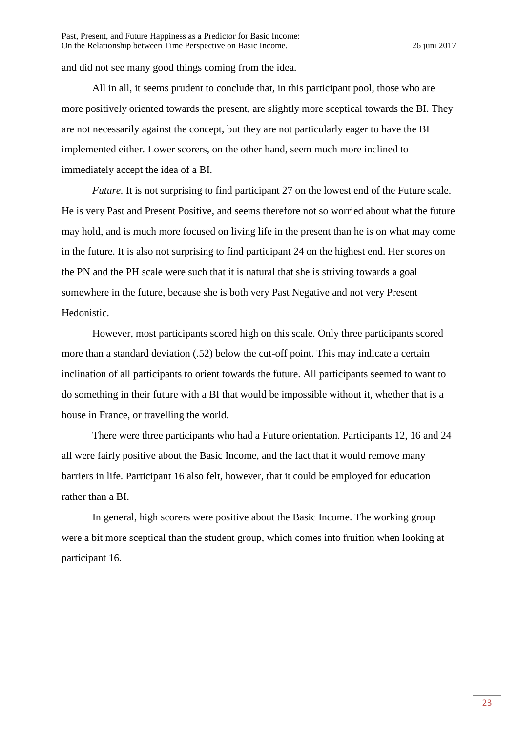and did not see many good things coming from the idea.

All in all, it seems prudent to conclude that, in this participant pool, those who are more positively oriented towards the present, are slightly more sceptical towards the BI. They are not necessarily against the concept, but they are not particularly eager to have the BI implemented either. Lower scorers, on the other hand, seem much more inclined to immediately accept the idea of a BI.

*Future.* It is not surprising to find participant 27 on the lowest end of the Future scale. He is very Past and Present Positive, and seems therefore not so worried about what the future may hold, and is much more focused on living life in the present than he is on what may come in the future. It is also not surprising to find participant 24 on the highest end. Her scores on the PN and the PH scale were such that it is natural that she is striving towards a goal somewhere in the future, because she is both very Past Negative and not very Present Hedonistic.

However, most participants scored high on this scale. Only three participants scored more than a standard deviation (.52) below the cut-off point. This may indicate a certain inclination of all participants to orient towards the future. All participants seemed to want to do something in their future with a BI that would be impossible without it, whether that is a house in France, or travelling the world.

There were three participants who had a Future orientation. Participants 12, 16 and 24 all were fairly positive about the Basic Income, and the fact that it would remove many barriers in life. Participant 16 also felt, however, that it could be employed for education rather than a BI.

In general, high scorers were positive about the Basic Income. The working group were a bit more sceptical than the student group, which comes into fruition when looking at participant 16.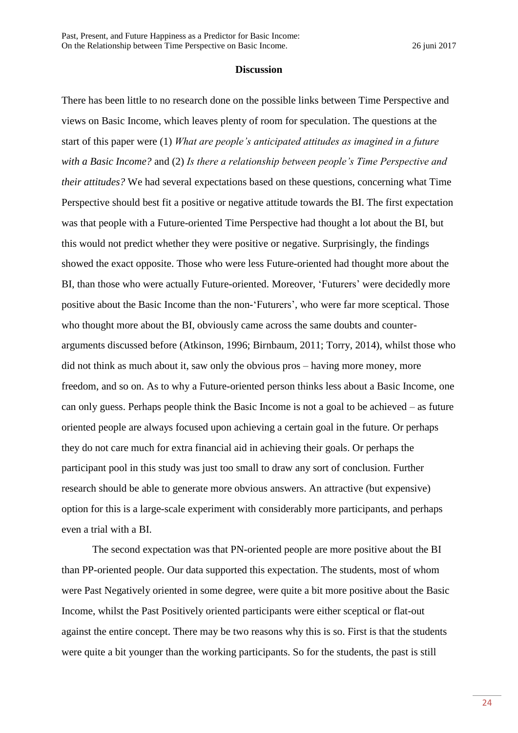#### **Discussion**

There has been little to no research done on the possible links between Time Perspective and views on Basic Income, which leaves plenty of room for speculation. The questions at the start of this paper were (1) *What are people's anticipated attitudes as imagined in a future with a Basic Income?* and (2) *Is there a relationship between people's Time Perspective and their attitudes?* We had several expectations based on these questions, concerning what Time Perspective should best fit a positive or negative attitude towards the BI. The first expectation was that people with a Future-oriented Time Perspective had thought a lot about the BI, but this would not predict whether they were positive or negative. Surprisingly, the findings showed the exact opposite. Those who were less Future-oriented had thought more about the BI, than those who were actually Future-oriented. Moreover, 'Futurers' were decidedly more positive about the Basic Income than the non-'Futurers', who were far more sceptical. Those who thought more about the BI, obviously came across the same doubts and counterarguments discussed before (Atkinson, 1996; Birnbaum, 2011; Torry, 2014), whilst those who did not think as much about it, saw only the obvious pros – having more money, more freedom, and so on. As to why a Future-oriented person thinks less about a Basic Income, one can only guess. Perhaps people think the Basic Income is not a goal to be achieved – as future oriented people are always focused upon achieving a certain goal in the future. Or perhaps they do not care much for extra financial aid in achieving their goals. Or perhaps the participant pool in this study was just too small to draw any sort of conclusion. Further research should be able to generate more obvious answers. An attractive (but expensive) option for this is a large-scale experiment with considerably more participants, and perhaps even a trial with a BI.

The second expectation was that PN-oriented people are more positive about the BI than PP-oriented people. Our data supported this expectation. The students, most of whom were Past Negatively oriented in some degree, were quite a bit more positive about the Basic Income, whilst the Past Positively oriented participants were either sceptical or flat-out against the entire concept. There may be two reasons why this is so. First is that the students were quite a bit younger than the working participants. So for the students, the past is still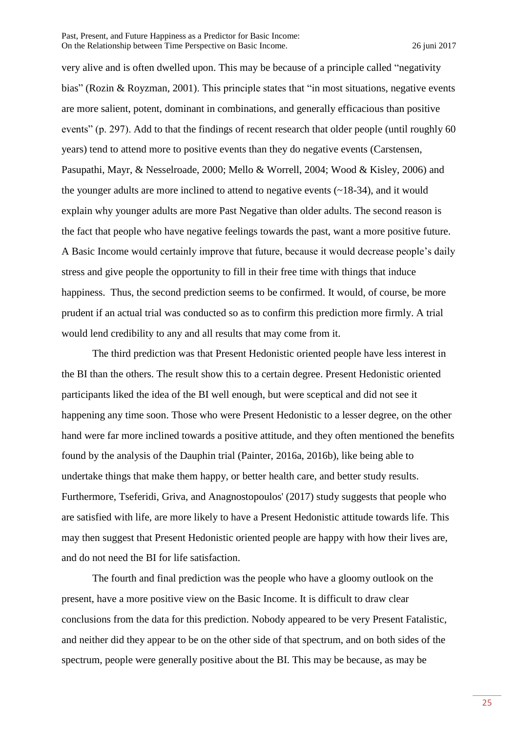very alive and is often dwelled upon. This may be because of a principle called "negativity bias" (Rozin & Royzman, 2001). This principle states that "in most situations, negative events are more salient, potent, dominant in combinations, and generally efficacious than positive events" (p. 297). Add to that the findings of recent research that older people (until roughly 60 years) tend to attend more to positive events than they do negative events (Carstensen, Pasupathi, Mayr, & Nesselroade, 2000; Mello & Worrell, 2004; Wood & Kisley, 2006) and the younger adults are more inclined to attend to negative events  $(\sim 18-34)$ , and it would explain why younger adults are more Past Negative than older adults. The second reason is the fact that people who have negative feelings towards the past, want a more positive future. A Basic Income would certainly improve that future, because it would decrease people's daily stress and give people the opportunity to fill in their free time with things that induce happiness. Thus, the second prediction seems to be confirmed. It would, of course, be more prudent if an actual trial was conducted so as to confirm this prediction more firmly. A trial would lend credibility to any and all results that may come from it.

The third prediction was that Present Hedonistic oriented people have less interest in the BI than the others. The result show this to a certain degree. Present Hedonistic oriented participants liked the idea of the BI well enough, but were sceptical and did not see it happening any time soon. Those who were Present Hedonistic to a lesser degree, on the other hand were far more inclined towards a positive attitude, and they often mentioned the benefits found by the analysis of the Dauphin trial (Painter, 2016a, 2016b), like being able to undertake things that make them happy, or better health care, and better study results. Furthermore, Tseferidi, Griva, and Anagnostopoulos' (2017) study suggests that people who are satisfied with life, are more likely to have a Present Hedonistic attitude towards life. This may then suggest that Present Hedonistic oriented people are happy with how their lives are, and do not need the BI for life satisfaction.

The fourth and final prediction was the people who have a gloomy outlook on the present, have a more positive view on the Basic Income. It is difficult to draw clear conclusions from the data for this prediction. Nobody appeared to be very Present Fatalistic, and neither did they appear to be on the other side of that spectrum, and on both sides of the spectrum, people were generally positive about the BI. This may be because, as may be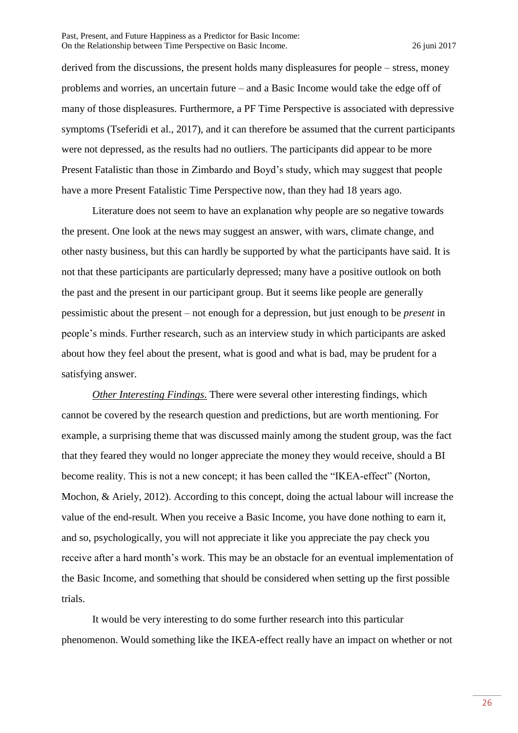derived from the discussions, the present holds many displeasures for people – stress, money problems and worries, an uncertain future – and a Basic Income would take the edge off of many of those displeasures. Furthermore, a PF Time Perspective is associated with depressive symptoms (Tseferidi et al., 2017), and it can therefore be assumed that the current participants were not depressed, as the results had no outliers. The participants did appear to be more Present Fatalistic than those in Zimbardo and Boyd's study, which may suggest that people have a more Present Fatalistic Time Perspective now, than they had 18 years ago.

Literature does not seem to have an explanation why people are so negative towards the present. One look at the news may suggest an answer, with wars, climate change, and other nasty business, but this can hardly be supported by what the participants have said. It is not that these participants are particularly depressed; many have a positive outlook on both the past and the present in our participant group. But it seems like people are generally pessimistic about the present – not enough for a depression, but just enough to be *present* in people's minds. Further research, such as an interview study in which participants are asked about how they feel about the present, what is good and what is bad, may be prudent for a satisfying answer.

*Other Interesting Findings*. There were several other interesting findings, which cannot be covered by the research question and predictions, but are worth mentioning. For example, a surprising theme that was discussed mainly among the student group, was the fact that they feared they would no longer appreciate the money they would receive, should a BI become reality. This is not a new concept; it has been called the "IKEA-effect" (Norton, Mochon, & Ariely, 2012). According to this concept, doing the actual labour will increase the value of the end-result. When you receive a Basic Income, you have done nothing to earn it, and so, psychologically, you will not appreciate it like you appreciate the pay check you receive after a hard month's work. This may be an obstacle for an eventual implementation of the Basic Income, and something that should be considered when setting up the first possible trials.

It would be very interesting to do some further research into this particular phenomenon. Would something like the IKEA-effect really have an impact on whether or not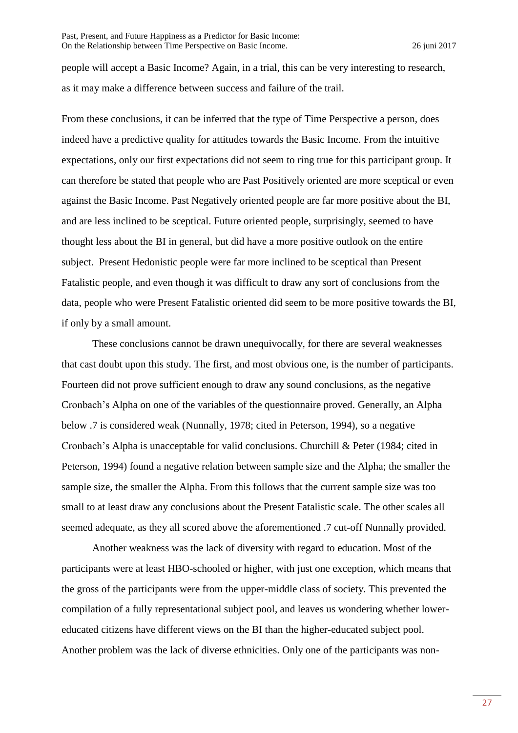people will accept a Basic Income? Again, in a trial, this can be very interesting to research, as it may make a difference between success and failure of the trail.

From these conclusions, it can be inferred that the type of Time Perspective a person, does indeed have a predictive quality for attitudes towards the Basic Income. From the intuitive expectations, only our first expectations did not seem to ring true for this participant group. It can therefore be stated that people who are Past Positively oriented are more sceptical or even against the Basic Income. Past Negatively oriented people are far more positive about the BI, and are less inclined to be sceptical. Future oriented people, surprisingly, seemed to have thought less about the BI in general, but did have a more positive outlook on the entire subject. Present Hedonistic people were far more inclined to be sceptical than Present Fatalistic people, and even though it was difficult to draw any sort of conclusions from the data, people who were Present Fatalistic oriented did seem to be more positive towards the BI, if only by a small amount.

These conclusions cannot be drawn unequivocally, for there are several weaknesses that cast doubt upon this study. The first, and most obvious one, is the number of participants. Fourteen did not prove sufficient enough to draw any sound conclusions, as the negative Cronbach's Alpha on one of the variables of the questionnaire proved. Generally, an Alpha below .7 is considered weak (Nunnally, 1978; cited in Peterson, 1994), so a negative Cronbach's Alpha is unacceptable for valid conclusions. Churchill & Peter (1984; cited in Peterson, 1994) found a negative relation between sample size and the Alpha; the smaller the sample size, the smaller the Alpha. From this follows that the current sample size was too small to at least draw any conclusions about the Present Fatalistic scale. The other scales all seemed adequate, as they all scored above the aforementioned .7 cut-off Nunnally provided.

Another weakness was the lack of diversity with regard to education. Most of the participants were at least HBO-schooled or higher, with just one exception, which means that the gross of the participants were from the upper-middle class of society. This prevented the compilation of a fully representational subject pool, and leaves us wondering whether lowereducated citizens have different views on the BI than the higher-educated subject pool. Another problem was the lack of diverse ethnicities. Only one of the participants was non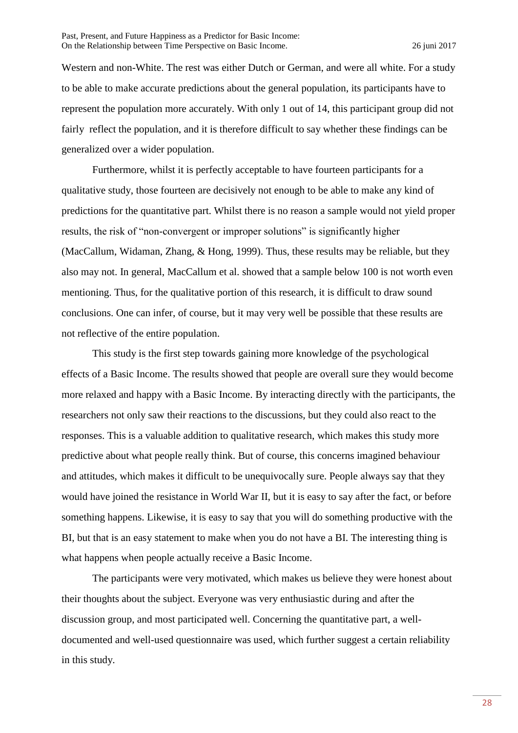Western and non-White. The rest was either Dutch or German, and were all white. For a study to be able to make accurate predictions about the general population, its participants have to represent the population more accurately. With only 1 out of 14, this participant group did not fairly reflect the population, and it is therefore difficult to say whether these findings can be generalized over a wider population.

Furthermore, whilst it is perfectly acceptable to have fourteen participants for a qualitative study, those fourteen are decisively not enough to be able to make any kind of predictions for the quantitative part. Whilst there is no reason a sample would not yield proper results, the risk of "non-convergent or improper solutions" is significantly higher (MacCallum, Widaman, Zhang, & Hong, 1999). Thus, these results may be reliable, but they also may not. In general, MacCallum et al. showed that a sample below 100 is not worth even mentioning. Thus, for the qualitative portion of this research, it is difficult to draw sound conclusions. One can infer, of course, but it may very well be possible that these results are not reflective of the entire population.

This study is the first step towards gaining more knowledge of the psychological effects of a Basic Income. The results showed that people are overall sure they would become more relaxed and happy with a Basic Income. By interacting directly with the participants, the researchers not only saw their reactions to the discussions, but they could also react to the responses. This is a valuable addition to qualitative research, which makes this study more predictive about what people really think. But of course, this concerns imagined behaviour and attitudes, which makes it difficult to be unequivocally sure. People always say that they would have joined the resistance in World War II, but it is easy to say after the fact, or before something happens. Likewise, it is easy to say that you will do something productive with the BI, but that is an easy statement to make when you do not have a BI. The interesting thing is what happens when people actually receive a Basic Income.

The participants were very motivated, which makes us believe they were honest about their thoughts about the subject. Everyone was very enthusiastic during and after the discussion group, and most participated well. Concerning the quantitative part, a welldocumented and well-used questionnaire was used, which further suggest a certain reliability in this study.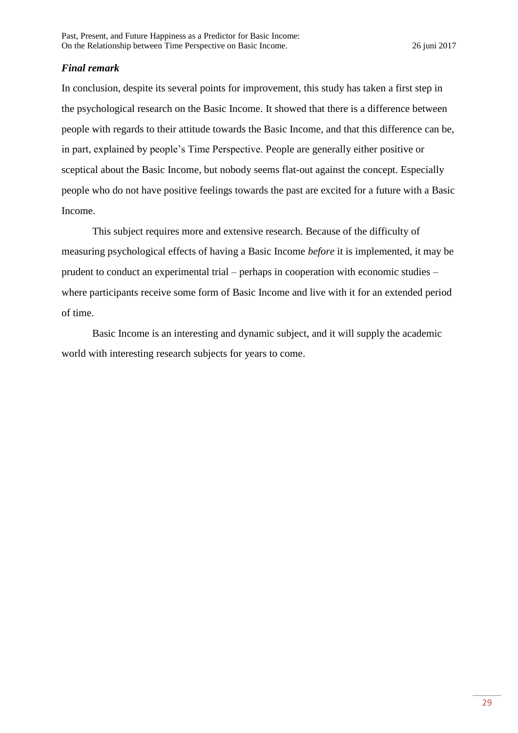# *Final remark*

In conclusion, despite its several points for improvement, this study has taken a first step in the psychological research on the Basic Income. It showed that there is a difference between people with regards to their attitude towards the Basic Income, and that this difference can be, in part, explained by people's Time Perspective. People are generally either positive or sceptical about the Basic Income, but nobody seems flat-out against the concept. Especially people who do not have positive feelings towards the past are excited for a future with a Basic Income.

This subject requires more and extensive research. Because of the difficulty of measuring psychological effects of having a Basic Income *before* it is implemented, it may be prudent to conduct an experimental trial – perhaps in cooperation with economic studies – where participants receive some form of Basic Income and live with it for an extended period of time.

Basic Income is an interesting and dynamic subject, and it will supply the academic world with interesting research subjects for years to come.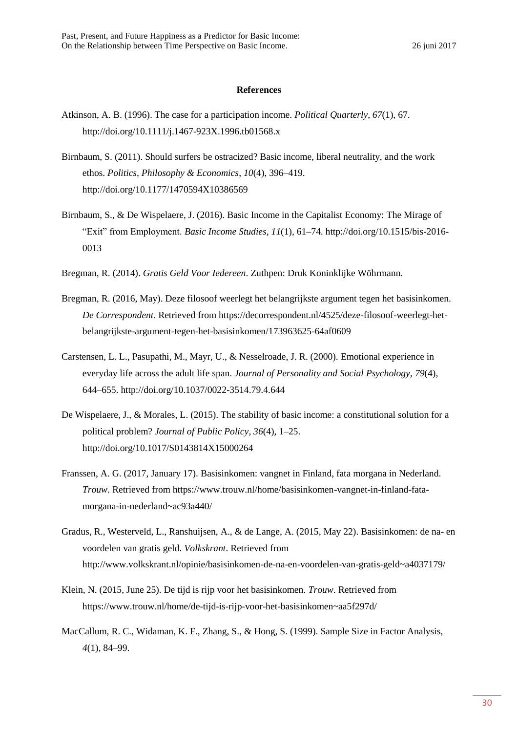#### **References**

- Atkinson, A. B. (1996). The case for a participation income. *Political Quarterly*, *67*(1), 67. http://doi.org/10.1111/j.1467-923X.1996.tb01568.x
- Birnbaum, S. (2011). Should surfers be ostracized? Basic income, liberal neutrality, and the work ethos. *Politics, Philosophy & Economics*, *10*(4), 396–419. http://doi.org/10.1177/1470594X10386569
- Birnbaum, S., & De Wispelaere, J. (2016). Basic Income in the Capitalist Economy: The Mirage of "Exit" from Employment. *Basic Income Studies*, *11*(1), 61–74. http://doi.org/10.1515/bis-2016- 0013
- Bregman, R. (2014). *Gratis Geld Voor Iedereen*. Zuthpen: Druk Koninklijke Wöhrmann.
- Bregman, R. (2016, May). Deze filosoof weerlegt het belangrijkste argument tegen het basisinkomen. *De Correspondent*. Retrieved from https://decorrespondent.nl/4525/deze-filosoof-weerlegt-hetbelangrijkste-argument-tegen-het-basisinkomen/173963625-64af0609
- Carstensen, L. L., Pasupathi, M., Mayr, U., & Nesselroade, J. R. (2000). Emotional experience in everyday life across the adult life span. *Journal of Personality and Social Psychology*, *79*(4), 644–655. http://doi.org/10.1037/0022-3514.79.4.644
- De Wispelaere, J., & Morales, L. (2015). The stability of basic income: a constitutional solution for a political problem? *Journal of Public Policy*, *36*(4), 1–25. http://doi.org/10.1017/S0143814X15000264
- Franssen, A. G. (2017, January 17). Basisinkomen: vangnet in Finland, fata morgana in Nederland. *Trouw*. Retrieved from https://www.trouw.nl/home/basisinkomen-vangnet-in-finland-fatamorgana-in-nederland~ac93a440/
- Gradus, R., Westerveld, L., Ranshuijsen, A., & de Lange, A. (2015, May 22). Basisinkomen: de na- en voordelen van gratis geld. *Volkskrant*. Retrieved from http://www.volkskrant.nl/opinie/basisinkomen-de-na-en-voordelen-van-gratis-geld~a4037179/
- Klein, N. (2015, June 25). De tijd is rijp voor het basisinkomen. *Trouw*. Retrieved from https://www.trouw.nl/home/de-tijd-is-rijp-voor-het-basisinkomen~aa5f297d/
- MacCallum, R. C., Widaman, K. F., Zhang, S., & Hong, S. (1999). Sample Size in Factor Analysis, *4*(1), 84–99.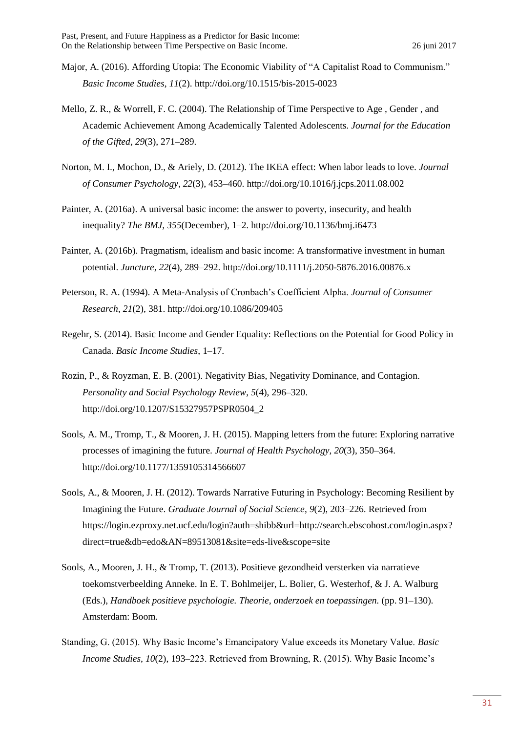- Major, A. (2016). Affording Utopia: The Economic Viability of "A Capitalist Road to Communism." *Basic Income Studies*, *11*(2). http://doi.org/10.1515/bis-2015-0023
- Mello, Z. R., & Worrell, F. C. (2004). The Relationship of Time Perspective to Age , Gender , and Academic Achievement Among Academically Talented Adolescents. *Journal for the Education of the Gifted*, *29*(3), 271–289.
- Norton, M. I., Mochon, D., & Ariely, D. (2012). The IKEA effect: When labor leads to love. *Journal of Consumer Psychology*, *22*(3), 453–460. http://doi.org/10.1016/j.jcps.2011.08.002
- Painter, A. (2016a). A universal basic income: the answer to poverty, insecurity, and health inequality? *The BMJ*, *355*(December), 1–2. http://doi.org/10.1136/bmj.i6473
- Painter, A. (2016b). Pragmatism, idealism and basic income: A transformative investment in human potential. *Juncture*, *22*(4), 289–292. http://doi.org/10.1111/j.2050-5876.2016.00876.x
- Peterson, R. A. (1994). A Meta-Analysis of Cronbach's Coefficient Alpha. *Journal of Consumer Research*, *21*(2), 381. http://doi.org/10.1086/209405
- Regehr, S. (2014). Basic Income and Gender Equality: Reflections on the Potential for Good Policy in Canada. *Basic Income Studies*, 1–17.
- Rozin, P., & Royzman, E. B. (2001). Negativity Bias, Negativity Dominance, and Contagion. *Personality and Social Psychology Review*, *5*(4), 296–320. http://doi.org/10.1207/S15327957PSPR0504\_2
- Sools, A. M., Tromp, T., & Mooren, J. H. (2015). Mapping letters from the future: Exploring narrative processes of imagining the future. *Journal of Health Psychology*, *20*(3), 350–364. http://doi.org/10.1177/1359105314566607
- Sools, A., & Mooren, J. H. (2012). Towards Narrative Futuring in Psychology: Becoming Resilient by Imagining the Future. *Graduate Journal of Social Science*, *9*(2), 203–226. Retrieved from https://login.ezproxy.net.ucf.edu/login?auth=shibb&url=http://search.ebscohost.com/login.aspx? direct=true&db=edo&AN=89513081&site=eds-live&scope=site
- Sools, A., Mooren, J. H., & Tromp, T. (2013). Positieve gezondheid versterken via narratieve toekomstverbeelding Anneke. In E. T. Bohlmeijer, L. Bolier, G. Westerhof, & J. A. Walburg (Eds.), *Handboek positieve psychologie. Theorie, onderzoek en toepassingen.* (pp. 91–130). Amsterdam: Boom.
- Standing, G. (2015). Why Basic Income's Emancipatory Value exceeds its Monetary Value. *Basic Income Studies*, *10*(2), 193–223. Retrieved from Browning, R. (2015). Why Basic Income's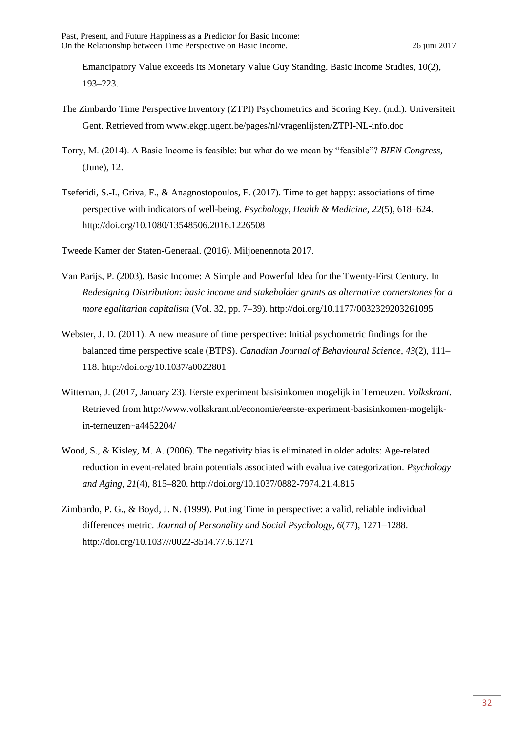Emancipatory Value exceeds its Monetary Value Guy Standing. Basic Income Studies, 10(2), 193–223.

- The Zimbardo Time Perspective Inventory (ZTPI) Psychometrics and Scoring Key. (n.d.). Universiteit Gent. Retrieved from www.ekgp.ugent.be/pages/nl/vragenlijsten/ZTPI-NL-info.doc
- Torry, M. (2014). A Basic Income is feasible: but what do we mean by "feasible"? *BIEN Congress*, (June), 12.
- Tseferidi, S.-I., Griva, F., & Anagnostopoulos, F. (2017). Time to get happy: associations of time perspective with indicators of well-being. *Psychology, Health & Medicine*, *22*(5), 618–624. http://doi.org/10.1080/13548506.2016.1226508
- Tweede Kamer der Staten-Generaal. (2016). Miljoenennota 2017.
- Van Parijs, P. (2003). Basic Income: A Simple and Powerful Idea for the Twenty-First Century. In *Redesigning Distribution: basic income and stakeholder grants as alternative cornerstones for a more egalitarian capitalism* (Vol. 32, pp. 7–39). http://doi.org/10.1177/0032329203261095
- Webster, J. D. (2011). A new measure of time perspective: Initial psychometric findings for the balanced time perspective scale (BTPS). *Canadian Journal of Behavioural Science*, *43*(2), 111– 118. http://doi.org/10.1037/a0022801
- Witteman, J. (2017, January 23). Eerste experiment basisinkomen mogelijk in Terneuzen. *Volkskrant*. Retrieved from http://www.volkskrant.nl/economie/eerste-experiment-basisinkomen-mogelijkin-terneuzen~a4452204/
- Wood, S., & Kisley, M. A. (2006). The negativity bias is eliminated in older adults: Age-related reduction in event-related brain potentials associated with evaluative categorization. *Psychology and Aging*, *21*(4), 815–820. http://doi.org/10.1037/0882-7974.21.4.815
- Zimbardo, P. G., & Boyd, J. N. (1999). Putting Time in perspective: a valid, reliable individual differences metric. *Journal of Personality and Social Psychology*, *6*(77), 1271–1288. http://doi.org/10.1037//0022-3514.77.6.1271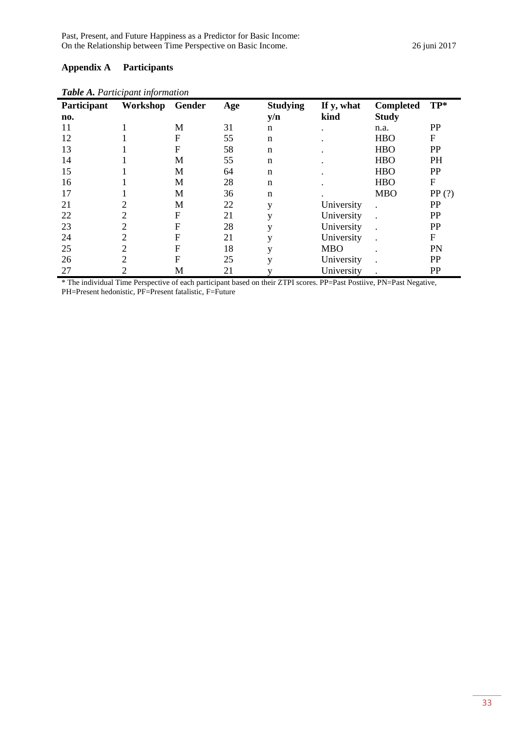# **Appendix A Participants**

| Participant | Workshop       | Gender           | Age | <b>Studying</b> | If y, what | Completed    | $TP*$            |
|-------------|----------------|------------------|-----|-----------------|------------|--------------|------------------|
| no.         |                |                  |     | y/n             | kind       | <b>Study</b> |                  |
| 11          |                | M                | 31  | n               |            | n.a.         | PP               |
| 12          |                | F                | 55  | $\mathbf n$     |            | <b>HBO</b>   | $\boldsymbol{F}$ |
| 13          |                | $\boldsymbol{F}$ | 58  | $\mathbf n$     |            | <b>HBO</b>   | PP               |
| 14          |                | M                | 55  | $\mathbf n$     |            | <b>HBO</b>   | <b>PH</b>        |
| 15          |                | M                | 64  | $\mathbf n$     |            | <b>HBO</b>   | PP               |
| 16          |                | M                | 28  | $\mathbf n$     |            | <b>HBO</b>   | $\boldsymbol{F}$ |
| 17          |                | M                | 36  | $\mathbf n$     |            | <b>MBO</b>   | PP(?)            |
| 21          |                | M                | 22  | V               | University |              | PP               |
| 22          | 2              | F                | 21  | y               | University |              | PP               |
| 23          | 2              | F                | 28  | V               | University |              | PP               |
| 24          | $\overline{2}$ | F                | 21  | V               | University |              | $\boldsymbol{F}$ |
| 25          | $\overline{c}$ | F                | 18  |                 | <b>MBO</b> |              | PN               |
| 26          | 2              | F                | 25  | $\mathbf{V}$    | University |              | PP               |
| 27          |                | M                | 21  |                 | University |              | PP               |

*Table A. Participant information*

\* The individual Time Perspective of each participant based on their ZTPI scores. PP=Past Postiive, PN=Past Negative, PH=Present hedonistic, PF=Present fatalistic, F=Future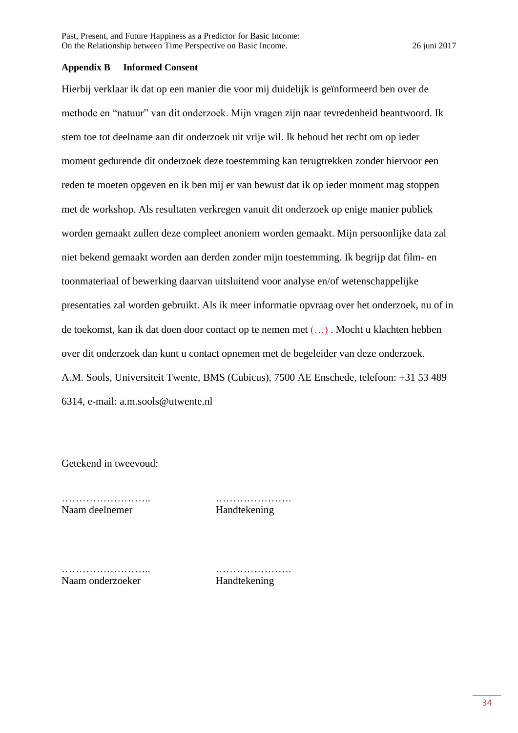#### **Appendix B Informed Consent**

Hierbij verklaar ik dat op een manier die voor mij duidelijk is geïnformeerd ben over de methode en "natuur" van dit onderzoek. Mijn vragen zijn naar tevredenheid beantwoord. Ik stem toe tot deelname aan dit onderzoek uit vrije wil. Ik behoud het recht om op ieder moment gedurende dit onderzoek deze toestemming kan terugtrekken zonder hiervoor een reden te moeten opgeven en ik ben mij er van bewust dat ik op ieder moment mag stoppen met de workshop. Als resultaten verkregen vanuit dit onderzoek op enige manier publiek worden gemaakt zullen deze compleet anoniem worden gemaakt. Mijn persoonlijke data zal niet bekend gemaakt worden aan derden zonder mijn toestemming. Ik begrijp dat film- en toonmateriaal of bewerking daarvan uitsluitend voor analyse en/of wetenschappelijke presentaties zal worden gebruikt. Als ik meer informatie opvraag over het onderzoek, nu of in de toekomst, kan ik dat doen door contact op te nemen met (…) . Mocht u klachten hebben over dit onderzoek dan kunt u contact opnemen met de begeleider van deze onderzoek. A.M. Sools, Universiteit Twente, BMS (Cubicus), 7500 AE Enschede, telefoon: +31 53 489 6314, e-mail: a.m.sools@utwente.nl

Getekend in tweevoud:

Naam deelnemer Handtekening

…………………….. ………………….

…………………….. …………………. Naam onderzoeker Handtekening